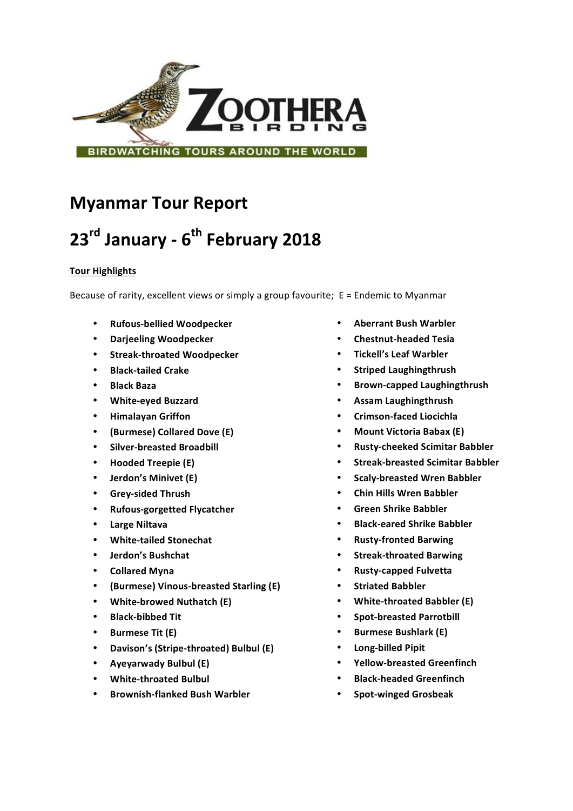

## **Myanmar Tour Report**

# **23rd January - 6th February 2018**

### **Tour Highlights**

Because of rarity, excellent views or simply a group favourite;  $E =$  Endemic to Myanmar

- <sup>S</sup> **Rufous-bellied Woodpecker**
- **Darjeeling Woodpecker**
- **Streak-throated Woodpecker**
- **Black-tailed Crake**
- **Black Baza**
- **White-eyed Buzzard**
- **Himalayan Griffon**
- **(Burmese) Collared Dove (E)**
- **Silver-breasted Broadbill**
- **Hooded Treepie (E)**
- **Jerdon's Minivet (E)**
- **Grey-sided Thrush**
- **Rufous-gorgetted Flycatcher**
- **Large Niltava**
- **White-tailed Stonechat**
- **Jerdon's Bushchat**
- **Collared Myna**
- **(Burmese) Vinous-breasted Starling (E)**
- **White-browed Nuthatch (E)**
- **Black-bibbed Tit**
- **Burmese Tit (E)**
- **Davison's (Stripe-throated) Bulbul (E)**
- **Ayeyarwady Bulbul (E)**
- **White-throated Bulbul**
- **Brownish-flanked Bush Warbler**
- **Aberrant Bush Warbler**
- **Chestnut-headed Tesia**
- **Tickell's Leaf Warbler**
- **Striped Laughingthrush**
- **Brown-capped Laughingthrush**
- **Assam Laughingthrush**
- **Crimson-faced Liocichla**
- **Mount Victoria Babax (E)**
- **Rusty-cheeked Scimitar Babbler**
- **Streak-breasted Scimitar Babbler**
- **Scaly-breasted Wren Babbler**
- **Chin Hills Wren Babbler**
- **Green Shrike Babbler**
- **Black-eared Shrike Babbler**
- **Rusty-fronted Barwing**
- **Streak-throated Barwing**
- **Rusty-capped Fulvetta**
- **Striated Babbler**
- **White-throated Babbler (E)**
- **Spot-breasted Parrotbill**
- **Burmese Bushlark (E)**
- **Long-billed Pipit**
- **Yellow-breasted Greenfinch**
- **Black-headed Greenfinch**
- **Spot-winged Grosbeak**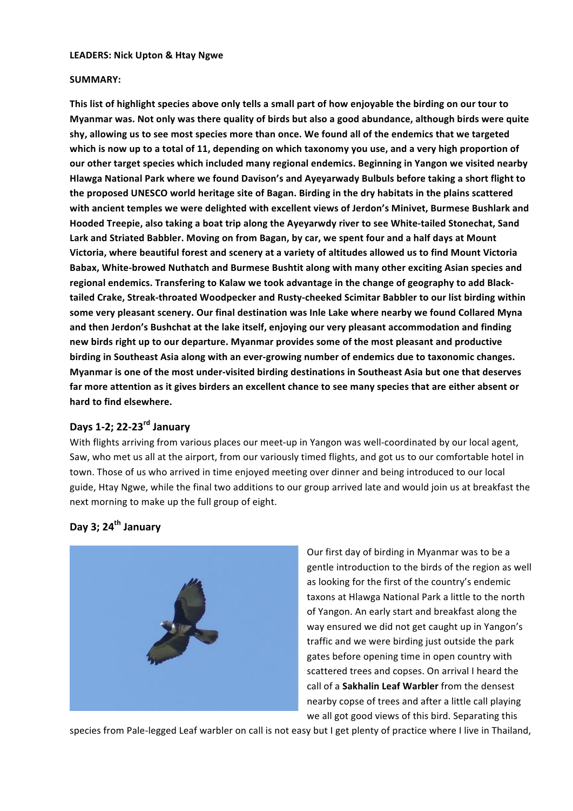#### **LEADERS: Nick Upton & Htay Ngwe**

#### **SUMMARY:**

This list of highlight species above only tells a small part of how enjoyable the birding on our tour to **Myanmar was. Not only was there quality of birds but also a good abundance, although birds were quite** shy, allowing us to see most species more than once. We found all of the endemics that we targeted which is now up to a total of 11, depending on which taxonomy you use, and a very high proportion of **our other target species which included many regional endemics. Beginning in Yangon we visited nearby** Hlawga National Park where we found Davison's and Ayeyarwady Bulbuls before taking a short flight to the proposed UNESCO world heritage site of Bagan. Birding in the dry habitats in the plains scattered with ancient temples we were delighted with excellent views of Jerdon's Minivet, Burmese Bushlark and Hooded Treepie, also taking a boat trip along the Ayeyarwdy river to see White-tailed Stonechat, Sand Lark and Striated Babbler. Moving on from Bagan, by car, we spent four and a half days at Mount Victoria, where beautiful forest and scenery at a variety of altitudes allowed us to find Mount Victoria Babax, White-browed Nuthatch and Burmese Bushtit along with many other exciting Asian species and regional endemics. Transfering to Kalaw we took advantage in the change of geography to add Blacktailed Crake, Streak-throated Woodpecker and Rusty-cheeked Scimitar Babbler to our list birding within some very pleasant scenery. Our final destination was Inle Lake where nearby we found Collared Myna and then Jerdon's Bushchat at the lake itself, enjoying our very pleasant accommodation and finding new birds right up to our departure. Myanmar provides some of the most pleasant and productive birding in Southeast Asia along with an ever-growing number of endemics due to taxonomic changes. Myanmar is one of the most under-visited birding destinations in Southeast Asia but one that deserves far more attention as it gives birders an excellent chance to see many species that are either absent or hard to find elsewhere.

## **Days 1-2; 22-23rd January**

With flights arriving from various places our meet-up in Yangon was well-coordinated by our local agent, Saw, who met us all at the airport, from our variously timed flights, and got us to our comfortable hotel in town. Those of us who arrived in time enjoyed meeting over dinner and being introduced to our local guide, Htay Ngwe, while the final two additions to our group arrived late and would join us at breakfast the next morning to make up the full group of eight.

## **Day 3; 24th January**



Our first day of birding in Myanmar was to be a gentle introduction to the birds of the region as well as looking for the first of the country's endemic taxons at Hlawga National Park a little to the north of Yangon. An early start and breakfast along the way ensured we did not get caught up in Yangon's traffic and we were birding just outside the park gates before opening time in open country with scattered trees and copses. On arrival I heard the call of a Sakhalin Leaf Warbler from the densest nearby copse of trees and after a little call playing we all got good views of this bird. Separating this

species from Pale-legged Leaf warbler on call is not easy but I get plenty of practice where I live in Thailand,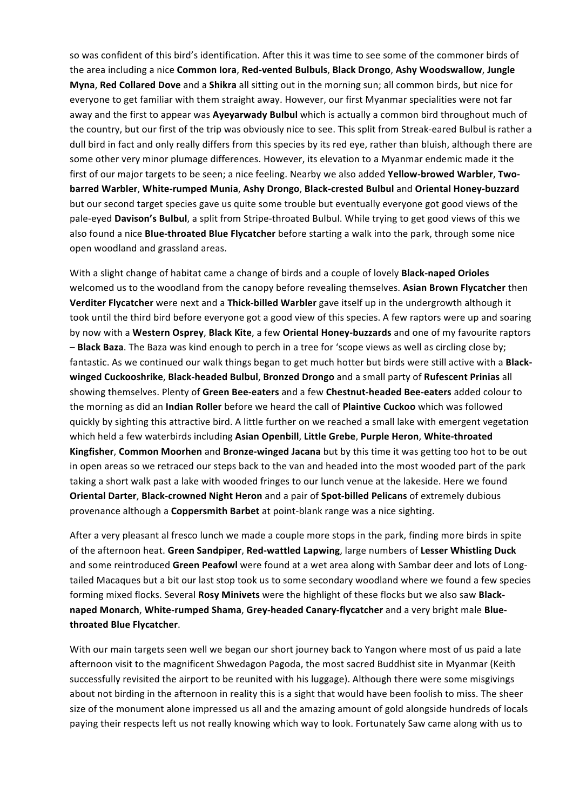so was confident of this bird's identification. After this it was time to see some of the commoner birds of the area including a nice Common lora, Red-vented Bulbuls, Black Drongo, Ashy Woodswallow, Jungle **Myna, Red Collared Dove** and a **Shikra** all sitting out in the morning sun; all common birds, but nice for everyone to get familiar with them straight away. However, our first Myanmar specialities were not far away and the first to appear was **Ayeyarwady Bulbul** which is actually a common bird throughout much of the country, but our first of the trip was obviously nice to see. This split from Streak-eared Bulbul is rather a dull bird in fact and only really differs from this species by its red eye, rather than bluish, although there are some other very minor plumage differences. However, its elevation to a Myanmar endemic made it the first of our major targets to be seen; a nice feeling. Nearby we also added **Yellow-browed Warbler**, **Twobarred Warbler**, **White-rumped Munia**, **Ashy Drongo**, **Black-crested Bulbul** and **Oriental Honey-buzzard** but our second target species gave us quite some trouble but eventually everyone got good views of the pale-eyed **Davison's Bulbul**, a split from Stripe-throated Bulbul. While trying to get good views of this we also found a nice **Blue-throated Blue Flycatcher** before starting a walk into the park, through some nice open woodland and grassland areas.

With a slight change of habitat came a change of birds and a couple of lovely **Black-naped Orioles** welcomed us to the woodland from the canopy before revealing themselves. Asian Brown Flycatcher then **Verditer Flycatcher** were next and a Thick-billed Warbler gave itself up in the undergrowth although it took until the third bird before everyone got a good view of this species. A few raptors were up and soaring by now with a Western Osprey, Black Kite, a few Oriental Honey-buzzards and one of my favourite raptors - **Black Baza**. The Baza was kind enough to perch in a tree for 'scope views as well as circling close by; fantastic. As we continued our walk things began to get much hotter but birds were still active with a **Blackwinged Cuckooshrike**, **Black-headed Bulbul**, **Bronzed Drongo** and a small party of **Rufescent Prinias** all showing themselves. Plenty of Green Bee-eaters and a few Chestnut-headed Bee-eaters added colour to the morning as did an **Indian Roller** before we heard the call of **Plaintive Cuckoo** which was followed quickly by sighting this attractive bird. A little further on we reached a small lake with emergent vegetation which held a few waterbirds including Asian Openbill, Little Grebe, Purple Heron, White-throated **Kingfisher, Common Moorhen** and **Bronze-winged Jacana** but by this time it was getting too hot to be out in open areas so we retraced our steps back to the van and headed into the most wooded part of the park taking a short walk past a lake with wooded fringes to our lunch venue at the lakeside. Here we found **Oriental Darter, Black-crowned Night Heron** and a pair of **Spot-billed Pelicans** of extremely dubious provenance although a **Coppersmith Barbet** at point-blank range was a nice sighting.

After a very pleasant al fresco lunch we made a couple more stops in the park, finding more birds in spite of the afternoon heat. Green Sandpiper, Red-wattled Lapwing, large numbers of Lesser Whistling Duck and some reintroduced Green Peafowl were found at a wet area along with Sambar deer and lots of Longtailed Macaques but a bit our last stop took us to some secondary woodland where we found a few species forming mixed flocks. Several Rosy Minivets were the highlight of these flocks but we also saw Blacknaped Monarch, White-rumped Shama, Grey-headed Canary-flycatcher and a very bright male Blue**throated Blue Flycatcher**.

With our main targets seen well we began our short journey back to Yangon where most of us paid a late afternoon visit to the magnificent Shwedagon Pagoda, the most sacred Buddhist site in Myanmar (Keith successfully revisited the airport to be reunited with his luggage). Although there were some misgivings about not birding in the afternoon in reality this is a sight that would have been foolish to miss. The sheer size of the monument alone impressed us all and the amazing amount of gold alongside hundreds of locals paying their respects left us not really knowing which way to look. Fortunately Saw came along with us to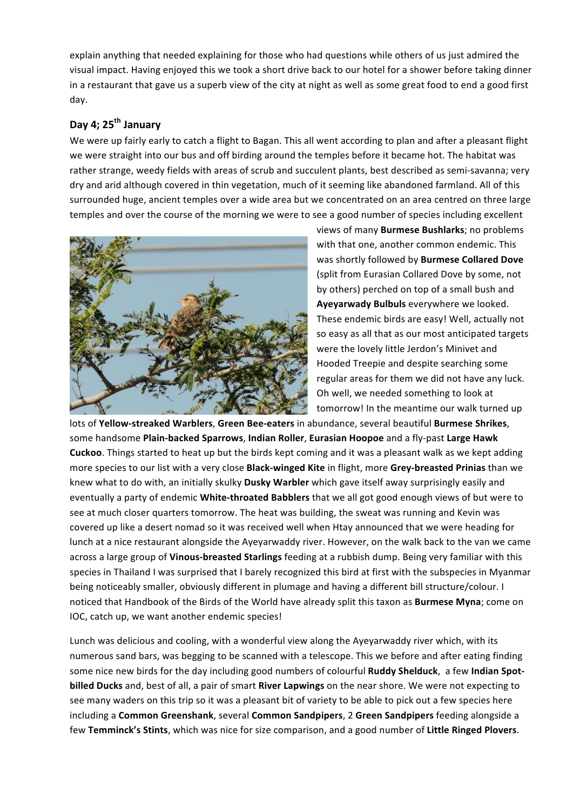explain anything that needed explaining for those who had questions while others of us just admired the visual impact. Having enjoyed this we took a short drive back to our hotel for a shower before taking dinner in a restaurant that gave us a superb view of the city at night as well as some great food to end a good first day.

## Day 4; 25<sup>th</sup> January

We were up fairly early to catch a flight to Bagan. This all went according to plan and after a pleasant flight we were straight into our bus and off birding around the temples before it became hot. The habitat was rather strange, weedy fields with areas of scrub and succulent plants, best described as semi-savanna; very dry and arid although covered in thin vegetation, much of it seeming like abandoned farmland. All of this surrounded huge, ancient temples over a wide area but we concentrated on an area centred on three large temples and over the course of the morning we were to see a good number of species including excellent



views of many **Burmese Bushlarks**; no problems with that one, another common endemic. This was shortly followed by **Burmese Collared Dove** (split from Eurasian Collared Dove by some, not by others) perched on top of a small bush and Ayeyarwady Bulbuls everywhere we looked. These endemic birds are easy! Well, actually not so easy as all that as our most anticipated targets were the lovely little Jerdon's Minivet and Hooded Treepie and despite searching some regular areas for them we did not have any luck. Oh well, we needed something to look at tomorrow! In the meantime our walk turned up

lots of Yellow-streaked Warblers, Green Bee-eaters in abundance, several beautiful Burmese Shrikes, some handsome Plain-backed Sparrows, Indian Roller, Eurasian Hoopoe and a fly-past Large Hawk **Cuckoo**. Things started to heat up but the birds kept coming and it was a pleasant walk as we kept adding more species to our list with a very close **Black-winged Kite** in flight, more Grey-breasted Prinias than we knew what to do with, an initially skulky Dusky Warbler which gave itself away surprisingly easily and eventually a party of endemic **White-throated Babblers** that we all got good enough views of but were to see at much closer quarters tomorrow. The heat was building, the sweat was running and Kevin was covered up like a desert nomad so it was received well when Htay announced that we were heading for lunch at a nice restaurant alongside the Ayeyarwaddy river. However, on the walk back to the van we came across a large group of Vinous-breasted Starlings feeding at a rubbish dump. Being very familiar with this species in Thailand I was surprised that I barely recognized this bird at first with the subspecies in Myanmar being noticeably smaller, obviously different in plumage and having a different bill structure/colour. I noticed that Handbook of the Birds of the World have already split this taxon as **Burmese Myna**; come on IOC, catch up, we want another endemic species!

Lunch was delicious and cooling, with a wonderful view along the Ayeyarwaddy river which, with its numerous sand bars, was begging to be scanned with a telescope. This we before and after eating finding some nice new birds for the day including good numbers of colourful **Ruddy Shelduck**, a few Indian Spot**billed Ducks** and, best of all, a pair of smart **River Lapwings** on the near shore. We were not expecting to see many waders on this trip so it was a pleasant bit of variety to be able to pick out a few species here including a **Common Greenshank**, several **Common Sandpipers**, 2 Green Sandpipers feeding alongside a few Temminck's Stints, which was nice for size comparison, and a good number of Little Ringed Plovers.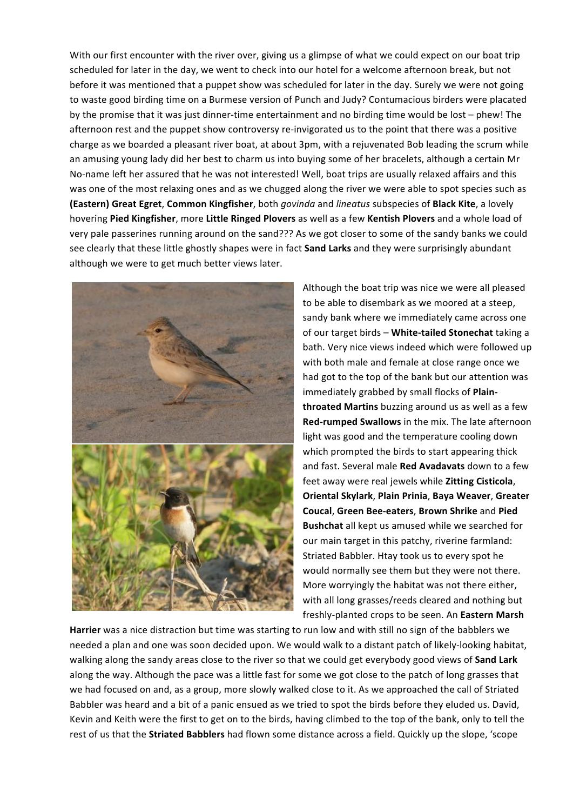With our first encounter with the river over, giving us a glimpse of what we could expect on our boat trip scheduled for later in the day, we went to check into our hotel for a welcome afternoon break, but not before it was mentioned that a puppet show was scheduled for later in the day. Surely we were not going to waste good birding time on a Burmese version of Punch and Judy? Contumacious birders were placated by the promise that it was just dinner-time entertainment and no birding time would be lost – phew! The afternoon rest and the puppet show controversy re-invigorated us to the point that there was a positive charge as we boarded a pleasant river boat, at about 3pm, with a rejuvenated Bob leading the scrum while an amusing young lady did her best to charm us into buying some of her bracelets, although a certain Mr No-name left her assured that he was not interested! Well, boat trips are usually relaxed affairs and this was one of the most relaxing ones and as we chugged along the river we were able to spot species such as **(Eastern) Great Egret**, **Common Kingfisher**, both *govinda* and *lineatus* subspecies of **Black Kite**, a lovely hovering Pied Kingfisher, more Little Ringed Plovers as well as a few Kentish Plovers and a whole load of very pale passerines running around on the sand??? As we got closer to some of the sandy banks we could see clearly that these little ghostly shapes were in fact **Sand Larks** and they were surprisingly abundant although we were to get much better views later.



Although the boat trip was nice we were all pleased to be able to disembark as we moored at a steep. sandy bank where we immediately came across one of our target birds - White-tailed Stonechat taking a bath. Very nice views indeed which were followed up with both male and female at close range once we had got to the top of the bank but our attention was immediately grabbed by small flocks of Plain**throated Martins** buzzing around us as well as a few **Red-rumped Swallows** in the mix. The late afternoon light was good and the temperature cooling down which prompted the birds to start appearing thick and fast. Several male Red Avadavats down to a few feet away were real jewels while **Zitting Cisticola**, **Oriental Skylark**, **Plain Prinia**, **Baya Weaver**, **Greater Coucal**, **Green Bee-eaters**, **Brown Shrike** and **Pied Bushchat** all kept us amused while we searched for our main target in this patchy, riverine farmland: Striated Babbler. Htay took us to every spot he would normally see them but they were not there. More worryingly the habitat was not there either, with all long grasses/reeds cleared and nothing but freshly-planted crops to be seen. An Eastern Marsh

**Harrier** was a nice distraction but time was starting to run low and with still no sign of the babblers we needed a plan and one was soon decided upon. We would walk to a distant patch of likely-looking habitat, walking along the sandy areas close to the river so that we could get everybody good views of **Sand Lark** along the way. Although the pace was a little fast for some we got close to the patch of long grasses that we had focused on and, as a group, more slowly walked close to it. As we approached the call of Striated Babbler was heard and a bit of a panic ensued as we tried to spot the birds before they eluded us. David, Kevin and Keith were the first to get on to the birds, having climbed to the top of the bank, only to tell the rest of us that the **Striated Babblers** had flown some distance across a field. Quickly up the slope, 'scope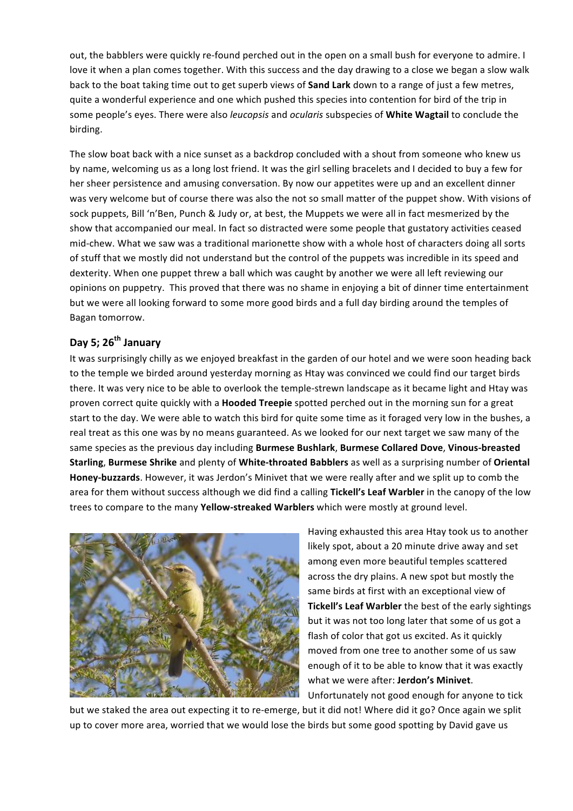out, the babblers were quickly re-found perched out in the open on a small bush for everyone to admire. I love it when a plan comes together. With this success and the day drawing to a close we began a slow walk back to the boat taking time out to get superb views of **Sand Lark** down to a range of just a few metres, quite a wonderful experience and one which pushed this species into contention for bird of the trip in some people's eyes. There were also *leucopsis* and *ocularis* subspecies of White Wagtail to conclude the birding. 

The slow boat back with a nice sunset as a backdrop concluded with a shout from someone who knew us by name, welcoming us as a long lost friend. It was the girl selling bracelets and I decided to buy a few for her sheer persistence and amusing conversation. By now our appetites were up and an excellent dinner was very welcome but of course there was also the not so small matter of the puppet show. With visions of sock puppets, Bill 'n'Ben, Punch & Judy or, at best, the Muppets we were all in fact mesmerized by the show that accompanied our meal. In fact so distracted were some people that gustatory activities ceased mid-chew. What we saw was a traditional marionette show with a whole host of characters doing all sorts of stuff that we mostly did not understand but the control of the puppets was incredible in its speed and dexterity. When one puppet threw a ball which was caught by another we were all left reviewing our opinions on puppetry. This proved that there was no shame in enjoying a bit of dinner time entertainment but we were all looking forward to some more good birds and a full day birding around the temples of Bagan tomorrow.

## Day 5; 26<sup>th</sup> January

It was surprisingly chilly as we enjoyed breakfast in the garden of our hotel and we were soon heading back to the temple we birded around yesterday morning as Htay was convinced we could find our target birds there. It was very nice to be able to overlook the temple-strewn landscape as it became light and Htay was proven correct quite quickly with a **Hooded Treepie** spotted perched out in the morning sun for a great start to the day. We were able to watch this bird for quite some time as it foraged very low in the bushes, a real treat as this one was by no means guaranteed. As we looked for our next target we saw many of the same species as the previous day including Burmese Bushlark, Burmese Collared Dove, Vinous-breasted **Starling, Burmese Shrike** and plenty of White-throated Babblers as well as a surprising number of Oriental Honey-buzzards. However, it was Jerdon's Minivet that we were really after and we split up to comb the area for them without success although we did find a calling Tickell's Leaf Warbler in the canopy of the low trees to compare to the many **Yellow-streaked Warblers** which were mostly at ground level.



Having exhausted this area Htay took us to another likely spot, about a 20 minute drive away and set among even more beautiful temples scattered across the dry plains. A new spot but mostly the same birds at first with an exceptional view of **Tickell's Leaf Warbler** the best of the early sightings but it was not too long later that some of us got a flash of color that got us excited. As it quickly moved from one tree to another some of us saw enough of it to be able to know that it was exactly what we were after: Jerdon's Minivet. Unfortunately not good enough for anyone to tick

but we staked the area out expecting it to re-emerge, but it did not! Where did it go? Once again we split up to cover more area, worried that we would lose the birds but some good spotting by David gave us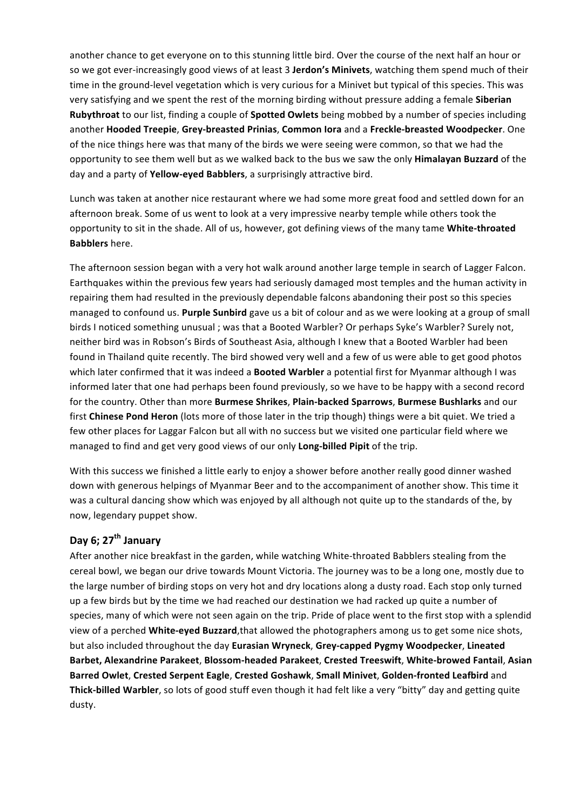another chance to get everyone on to this stunning little bird. Over the course of the next half an hour or so we got ever-increasingly good views of at least 3 Jerdon's Minivets, watching them spend much of their time in the ground-level vegetation which is very curious for a Minivet but typical of this species. This was very satisfying and we spent the rest of the morning birding without pressure adding a female **Siberian Rubythroat** to our list, finding a couple of **Spotted Owlets** being mobbed by a number of species including another **Hooded Treepie**, **Grey-breasted Prinias**, **Common Iora** and a **Freckle-breasted Woodpecker**. One of the nice things here was that many of the birds we were seeing were common, so that we had the opportunity to see them well but as we walked back to the bus we saw the only **Himalayan Buzzard** of the day and a party of **Yellow-eyed Babblers**, a surprisingly attractive bird.

Lunch was taken at another nice restaurant where we had some more great food and settled down for an afternoon break. Some of us went to look at a very impressive nearby temple while others took the opportunity to sit in the shade. All of us, however, got defining views of the many tame White-throated **Babblers** here.

The afternoon session began with a very hot walk around another large temple in search of Lagger Falcon. Earthquakes within the previous few years had seriously damaged most temples and the human activity in repairing them had resulted in the previously dependable falcons abandoning their post so this species managed to confound us. Purple Sunbird gave us a bit of colour and as we were looking at a group of small birds I noticed something unusual ; was that a Booted Warbler? Or perhaps Syke's Warbler? Surely not, neither bird was in Robson's Birds of Southeast Asia, although I knew that a Booted Warbler had been found in Thailand quite recently. The bird showed very well and a few of us were able to get good photos which later confirmed that it was indeed a **Booted Warbler** a potential first for Myanmar although I was informed later that one had perhaps been found previously, so we have to be happy with a second record for the country. Other than more Burmese Shrikes, Plain-backed Sparrows, Burmese Bushlarks and our first **Chinese Pond Heron** (lots more of those later in the trip though) things were a bit quiet. We tried a few other places for Laggar Falcon but all with no success but we visited one particular field where we managed to find and get very good views of our only Long-billed Pipit of the trip.

With this success we finished a little early to enjoy a shower before another really good dinner washed down with generous helpings of Myanmar Beer and to the accompaniment of another show. This time it was a cultural dancing show which was enjoyed by all although not quite up to the standards of the, by now, legendary puppet show.

## Day 6; 27<sup>th</sup> January

After another nice breakfast in the garden, while watching White-throated Babblers stealing from the cereal bowl, we began our drive towards Mount Victoria. The journey was to be a long one, mostly due to the large number of birding stops on very hot and dry locations along a dusty road. Each stop only turned up a few birds but by the time we had reached our destination we had racked up quite a number of species, many of which were not seen again on the trip. Pride of place went to the first stop with a splendid view of a perched **White-eyed Buzzard**,that allowed the photographers among us to get some nice shots, but also included throughout the day Eurasian Wryneck, Grey-capped Pygmy Woodpecker, Lineated **Barbet, Alexandrine Parakeet**, **Blossom-headed Parakeet**, **Crested Treeswift**, **White-browed Fantail**, **Asian Barred Owlet**, **Crested Serpent Eagle**, **Crested Goshawk**, **Small Minivet**, **Golden-fronted Leafbird** and **Thick-billed Warbler**, so lots of good stuff even though it had felt like a very "bitty" day and getting quite dusty.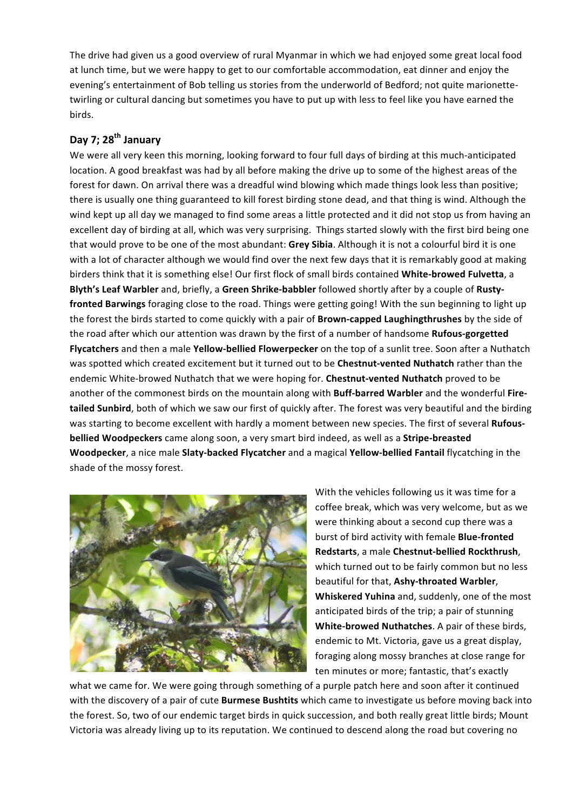The drive had given us a good overview of rural Myanmar in which we had enjoyed some great local food at lunch time, but we were happy to get to our comfortable accommodation, eat dinner and enjoy the evening's entertainment of Bob telling us stories from the underworld of Bedford; not quite marionettetwirling or cultural dancing but sometimes you have to put up with less to feel like you have earned the birds.

## Day 7; 28<sup>th</sup> January

We were all very keen this morning, looking forward to four full days of birding at this much-anticipated location. A good breakfast was had by all before making the drive up to some of the highest areas of the forest for dawn. On arrival there was a dreadful wind blowing which made things look less than positive; there is usually one thing guaranteed to kill forest birding stone dead, and that thing is wind. Although the wind kept up all day we managed to find some areas a little protected and it did not stop us from having an excellent day of birding at all, which was very surprising. Things started slowly with the first bird being one that would prove to be one of the most abundant: Grey Sibia. Although it is not a colourful bird it is one with a lot of character although we would find over the next few days that it is remarkably good at making birders think that it is something else! Our first flock of small birds contained White-browed Fulvetta, a Blyth's Leaf Warbler and, briefly, a Green Shrike-babbler followed shortly after by a couple of Rusty**fronted Barwings** foraging close to the road. Things were getting going! With the sun beginning to light up the forest the birds started to come quickly with a pair of **Brown-capped Laughingthrushes** by the side of the road after which our attention was drawn by the first of a number of handsome **Rufous-gorgetted Flycatchers** and then a male **Yellow-bellied Flowerpecker** on the top of a sunlit tree. Soon after a Nuthatch was spotted which created excitement but it turned out to be Chestnut-vented Nuthatch rather than the endemic White-browed Nuthatch that we were hoping for. Chestnut-vented Nuthatch proved to be another of the commonest birds on the mountain along with **Buff-barred Warbler** and the wonderful Fire**tailed Sunbird**, both of which we saw our first of quickly after. The forest was very beautiful and the birding was starting to become excellent with hardly a moment between new species. The first of several Rufous**bellied Woodpeckers** came along soon, a very smart bird indeed, as well as a **Stripe-breasted Woodpecker**, a nice male **Slaty-backed Flycatcher** and a magical Yellow-bellied Fantail flycatching in the shade of the mossy forest.



With the vehicles following us it was time for a coffee break, which was very welcome, but as we were thinking about a second cup there was a burst of bird activity with female **Blue-fronted Redstarts**, a male **Chestnut-bellied Rockthrush**, which turned out to be fairly common but no less beautiful for that, Ashy-throated Warbler, **Whiskered Yuhina** and, suddenly, one of the most anticipated birds of the trip; a pair of stunning **White-browed Nuthatches**. A pair of these birds, endemic to Mt. Victoria, gave us a great display, foraging along mossy branches at close range for ten minutes or more; fantastic, that's exactly

what we came for. We were going through something of a purple patch here and soon after it continued with the discovery of a pair of cute **Burmese Bushtits** which came to investigate us before moving back into the forest. So, two of our endemic target birds in quick succession, and both really great little birds; Mount Victoria was already living up to its reputation. We continued to descend along the road but covering no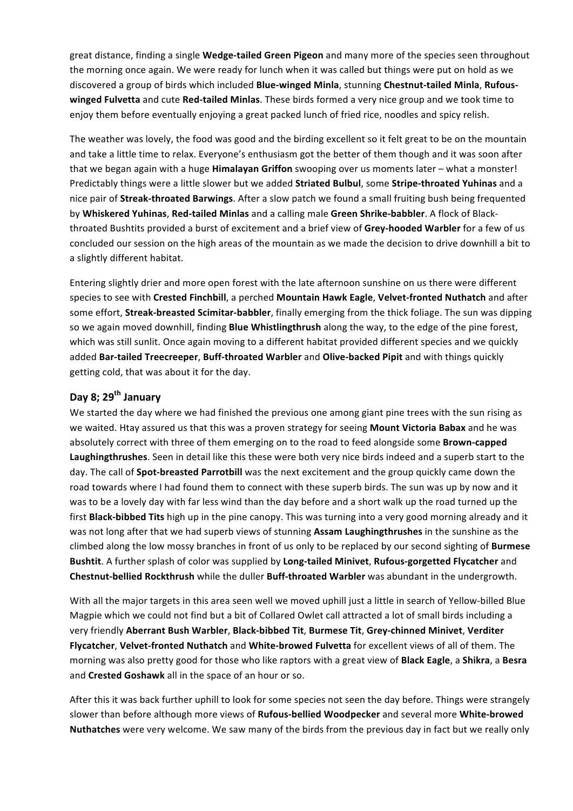great distance, finding a single **Wedge-tailed Green Pigeon** and many more of the species seen throughout the morning once again. We were ready for lunch when it was called but things were put on hold as we discovered a group of birds which included **Blue-winged Minla**, stunning Chestnut-tailed Minla, Rufouswinged Fulvetta and cute Red-tailed Minlas. These birds formed a very nice group and we took time to enjoy them before eventually enjoying a great packed lunch of fried rice, noodles and spicy relish.

The weather was lovely, the food was good and the birding excellent so it felt great to be on the mountain and take a little time to relax. Everyone's enthusiasm got the better of them though and it was soon after that we began again with a huge **Himalayan Griffon** swooping over us moments later – what a monster! Predictably things were a little slower but we added **Striated Bulbul**, some **Stripe-throated Yuhinas** and a nice pair of **Streak-throated Barwings**. After a slow patch we found a small fruiting bush being frequented by Whiskered Yuhinas, Red-tailed Minlas and a calling male Green Shrike-babbler. A flock of Blackthroated Bushtits provided a burst of excitement and a brief view of Grey-hooded Warbler for a few of us concluded our session on the high areas of the mountain as we made the decision to drive downhill a bit to a slightly different habitat.

Entering slightly drier and more open forest with the late afternoon sunshine on us there were different species to see with Crested Finchbill, a perched Mountain Hawk Eagle, Velvet-fronted Nuthatch and after some effort, **Streak-breasted Scimitar-babbler**, finally emerging from the thick foliage. The sun was dipping so we again moved downhill, finding **Blue Whistlingthrush** along the way, to the edge of the pine forest, which was still sunlit. Once again moving to a different habitat provided different species and we quickly added **Bar-tailed Treecreeper**, **Buff-throated Warbler** and **Olive-backed Pipit** and with things quickly getting cold, that was about it for the day.

## Day 8: 29<sup>th</sup> January

We started the day where we had finished the previous one among giant pine trees with the sun rising as we waited. Htay assured us that this was a proven strategy for seeing **Mount Victoria Babax** and he was absolutely correct with three of them emerging on to the road to feed alongside some **Brown-capped** Laughingthrushes. Seen in detail like this these were both very nice birds indeed and a superb start to the day. The call of **Spot-breasted Parrotbill** was the next excitement and the group quickly came down the road towards where I had found them to connect with these superb birds. The sun was up by now and it was to be a lovely day with far less wind than the day before and a short walk up the road turned up the first **Black-bibbed Tits** high up in the pine canopy. This was turning into a very good morning already and it was not long after that we had superb views of stunning Assam Laughingthrushes in the sunshine as the climbed along the low mossy branches in front of us only to be replaced by our second sighting of **Burmese Bushtit**. A further splash of color was supplied by Long-tailed Minivet, Rufous-gorgetted Flycatcher and **Chestnut-bellied Rockthrush** while the duller **Buff-throated Warbler** was abundant in the undergrowth.

With all the major targets in this area seen well we moved uphill just a little in search of Yellow-billed Blue Magpie which we could not find but a bit of Collared Owlet call attracted a lot of small birds including a very friendly Aberrant Bush Warbler, Black-bibbed Tit, Burmese Tit, Grey-chinned Minivet, Verditer **Flycatcher, Velvet-fronted Nuthatch** and White-browed Fulvetta for excellent views of all of them. The morning was also pretty good for those who like raptors with a great view of **Black Eagle**, a Shikra, a Besra and **Crested Goshawk** all in the space of an hour or so.

After this it was back further uphill to look for some species not seen the day before. Things were strangely slower than before although more views of Rufous-bellied Woodpecker and several more White-browed **Nuthatches** were very welcome. We saw many of the birds from the previous day in fact but we really only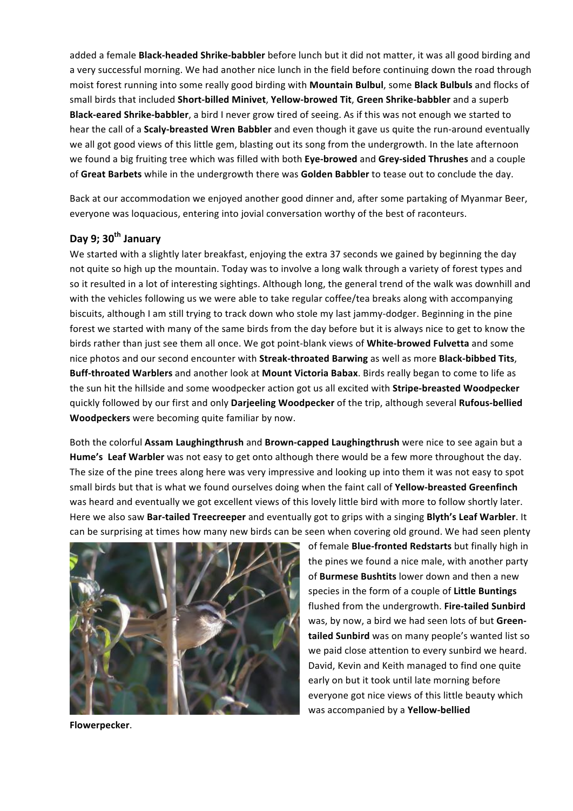added a female **Black-headed Shrike-babbler** before lunch but it did not matter, it was all good birding and a very successful morning. We had another nice lunch in the field before continuing down the road through moist forest running into some really good birding with **Mountain Bulbul**, some **Black Bulbuls** and flocks of small birds that included **Short-billed Minivet, Yellow-browed Tit, Green Shrike-babbler** and a superb **Black-eared Shrike-babbler**, a bird I never grow tired of seeing. As if this was not enough we started to hear the call of a **Scaly-breasted Wren Babbler** and even though it gave us quite the run-around eventually we all got good views of this little gem, blasting out its song from the undergrowth. In the late afternoon we found a big fruiting tree which was filled with both **Eye-browed** and **Grey-sided Thrushes** and a couple of Great Barbets while in the undergrowth there was Golden Babbler to tease out to conclude the day.

Back at our accommodation we enjoyed another good dinner and, after some partaking of Myanmar Beer, everyone was loquacious, entering into jovial conversation worthy of the best of raconteurs.

## Day 9; 30<sup>th</sup> January

We started with a slightly later breakfast, enjoying the extra 37 seconds we gained by beginning the day not quite so high up the mountain. Today was to involve a long walk through a variety of forest types and so it resulted in a lot of interesting sightings. Although long, the general trend of the walk was downhill and with the vehicles following us we were able to take regular coffee/tea breaks along with accompanying biscuits, although I am still trying to track down who stole my last jammy-dodger. Beginning in the pine forest we started with many of the same birds from the day before but it is always nice to get to know the birds rather than just see them all once. We got point-blank views of **White-browed Fulvetta** and some nice photos and our second encounter with **Streak-throated Barwing** as well as more **Black-bibbed Tits**, **Buff-throated Warblers** and another look at Mount Victoria Babax. Birds really began to come to life as the sun hit the hillside and some woodpecker action got us all excited with **Stripe-breasted Woodpecker** quickly followed by our first and only Darjeeling Woodpecker of the trip, although several Rufous-bellied **Woodpeckers** were becoming quite familiar by now.

Both the colorful Assam Laughingthrush and Brown-capped Laughingthrush were nice to see again but a Hume's Leaf Warbler was not easy to get onto although there would be a few more throughout the day. The size of the pine trees along here was very impressive and looking up into them it was not easy to spot small birds but that is what we found ourselves doing when the faint call of Yellow-breasted Greenfinch was heard and eventually we got excellent views of this lovely little bird with more to follow shortly later. Here we also saw Bar-tailed Treecreeper and eventually got to grips with a singing Blyth's Leaf Warbler. It can be surprising at times how many new birds can be seen when covering old ground. We had seen plenty



of female **Blue-fronted Redstarts** but finally high in the pines we found a nice male, with another party of **Burmese Bushtits** lower down and then a new species in the form of a couple of Little Buntings flushed from the undergrowth. Fire-tailed Sunbird was, by now, a bird we had seen lots of but Green**tailed Sunbird** was on many people's wanted list so we paid close attention to every sunbird we heard. David, Kevin and Keith managed to find one quite early on but it took until late morning before everyone got nice views of this little beauty which was accompanied by a Yellow-bellied

**Flowerpecker**.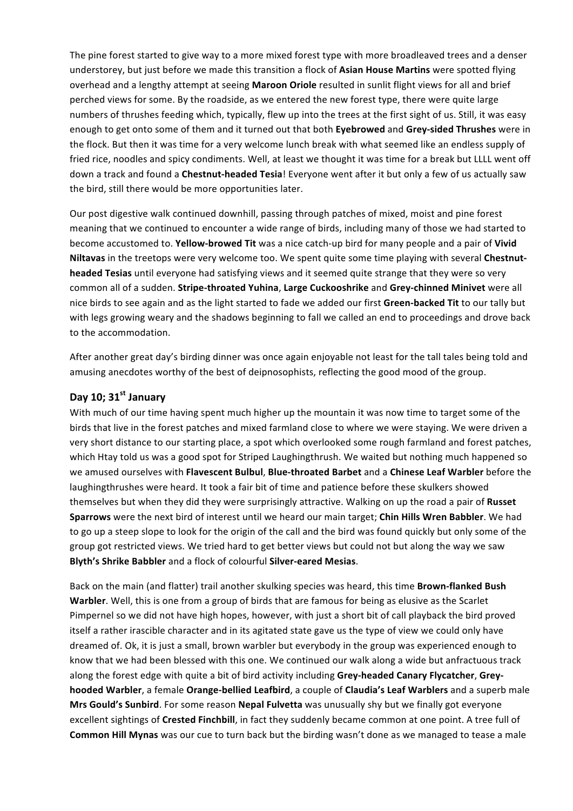The pine forest started to give way to a more mixed forest type with more broadleaved trees and a denser understorey, but just before we made this transition a flock of **Asian House Martins** were spotted flying overhead and a lengthy attempt at seeing Maroon Oriole resulted in sunlit flight views for all and brief perched views for some. By the roadside, as we entered the new forest type, there were quite large numbers of thrushes feeding which, typically, flew up into the trees at the first sight of us. Still, it was easy enough to get onto some of them and it turned out that both **Eyebrowed** and Grey-sided Thrushes were in the flock. But then it was time for a very welcome lunch break with what seemed like an endless supply of fried rice, noodles and spicy condiments. Well, at least we thought it was time for a break but LLLL went off down a track and found a **Chestnut-headed Tesia**! Everyone went after it but only a few of us actually saw the bird, still there would be more opportunities later.

Our post digestive walk continued downhill, passing through patches of mixed, moist and pine forest meaning that we continued to encounter a wide range of birds, including many of those we had started to become accustomed to. Yellow-browed Tit was a nice catch-up bird for many people and a pair of Vivid **Niltavas** in the treetops were very welcome too. We spent quite some time playing with several Chestnut**headed Tesias** until everyone had satisfying views and it seemed quite strange that they were so very common all of a sudden. **Stripe-throated Yuhina**, Large Cuckooshrike and Grey-chinned Minivet were all nice birds to see again and as the light started to fade we added our first Green-backed Tit to our tally but with legs growing weary and the shadows beginning to fall we called an end to proceedings and drove back to the accommodation.

After another great day's birding dinner was once again enjoyable not least for the tall tales being told and amusing anecdotes worthy of the best of deipnosophists, reflecting the good mood of the group.

## Day 10; 31<sup>st</sup> January

With much of our time having spent much higher up the mountain it was now time to target some of the birds that live in the forest patches and mixed farmland close to where we were staying. We were driven a very short distance to our starting place, a spot which overlooked some rough farmland and forest patches, which Htay told us was a good spot for Striped Laughingthrush. We waited but nothing much happened so we amused ourselves with **Flavescent Bulbul, Blue-throated Barbet** and a Chinese Leaf Warbler before the laughingthrushes were heard. It took a fair bit of time and patience before these skulkers showed themselves but when they did they were surprisingly attractive. Walking on up the road a pair of Russet **Sparrows** were the next bird of interest until we heard our main target; Chin Hills Wren Babbler. We had to go up a steep slope to look for the origin of the call and the bird was found quickly but only some of the group got restricted views. We tried hard to get better views but could not but along the way we saw **Blyth's Shrike Babbler** and a flock of colourful **Silver-eared Mesias**.

Back on the main (and flatter) trail another skulking species was heard, this time **Brown-flanked Bush Warbler**. Well, this is one from a group of birds that are famous for being as elusive as the Scarlet Pimpernel so we did not have high hopes, however, with just a short bit of call playback the bird proved itself a rather irascible character and in its agitated state gave us the type of view we could only have dreamed of. Ok, it is just a small, brown warbler but everybody in the group was experienced enough to know that we had been blessed with this one. We continued our walk along a wide but anfractuous track along the forest edge with quite a bit of bird activity including Grey-headed Canary Flycatcher, Grey**hooded Warbler**, a female Orange-bellied Leafbird, a couple of Claudia's Leaf Warblers and a superb male **Mrs Gould's Sunbird**. For some reason **Nepal Fulvetta** was unusually shy but we finally got everyone excellent sightings of **Crested Finchbill**, in fact they suddenly became common at one point. A tree full of **Common Hill Mynas** was our cue to turn back but the birding wasn't done as we managed to tease a male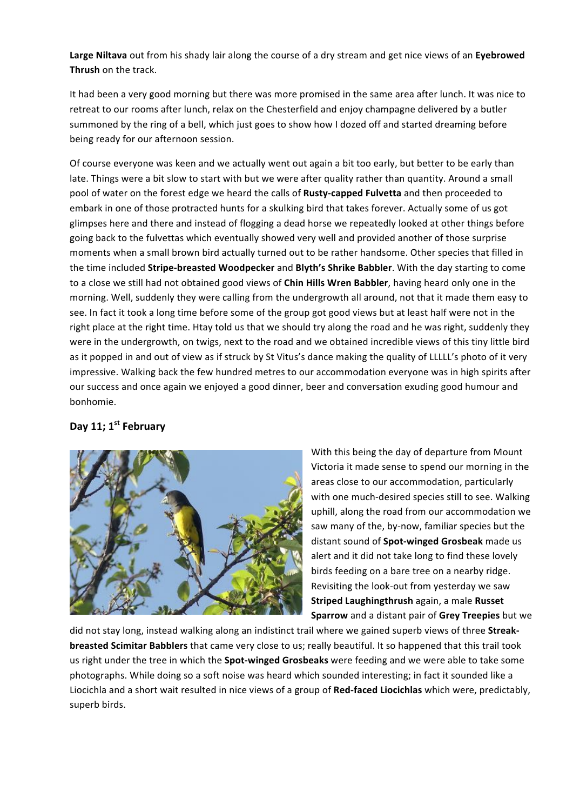Large Niltava out from his shady lair along the course of a dry stream and get nice views of an Eyebrowed **Thrush** on the track.

It had been a very good morning but there was more promised in the same area after lunch. It was nice to retreat to our rooms after lunch, relax on the Chesterfield and enjoy champagne delivered by a butler summoned by the ring of a bell, which just goes to show how I dozed off and started dreaming before being ready for our afternoon session.

Of course everyone was keen and we actually went out again a bit too early, but better to be early than late. Things were a bit slow to start with but we were after quality rather than quantity. Around a small pool of water on the forest edge we heard the calls of **Rusty-capped Fulvetta** and then proceeded to embark in one of those protracted hunts for a skulking bird that takes forever. Actually some of us got glimpses here and there and instead of flogging a dead horse we repeatedly looked at other things before going back to the fulvettas which eventually showed very well and provided another of those surprise moments when a small brown bird actually turned out to be rather handsome. Other species that filled in the time included Stripe-breasted Woodpecker and Blyth's Shrike Babbler. With the day starting to come to a close we still had not obtained good views of **Chin Hills Wren Babbler**, having heard only one in the morning. Well, suddenly they were calling from the undergrowth all around, not that it made them easy to see. In fact it took a long time before some of the group got good views but at least half were not in the right place at the right time. Htay told us that we should try along the road and he was right, suddenly they were in the undergrowth, on twigs, next to the road and we obtained incredible views of this tiny little bird as it popped in and out of view as if struck by St Vitus's dance making the quality of LLLLL's photo of it very impressive. Walking back the few hundred metres to our accommodation everyone was in high spirits after our success and once again we enjoyed a good dinner, beer and conversation exuding good humour and bonhomie.

## Day 11; 1<sup>st</sup> February



With this being the day of departure from Mount Victoria it made sense to spend our morning in the areas close to our accommodation, particularly with one much-desired species still to see. Walking uphill, along the road from our accommodation we saw many of the, by-now, familiar species but the distant sound of **Spot-winged Grosbeak** made us alert and it did not take long to find these lovely birds feeding on a bare tree on a nearby ridge. Revisiting the look-out from yesterday we saw **Striped Laughingthrush again, a male Russet Sparrow** and a distant pair of Grey Treepies but we

did not stay long, instead walking along an indistinct trail where we gained superb views of three Streak**breasted Scimitar Babblers** that came very close to us; really beautiful. It so happened that this trail took us right under the tree in which the **Spot-winged Grosbeaks** were feeding and we were able to take some photographs. While doing so a soft noise was heard which sounded interesting; in fact it sounded like a Liocichla and a short wait resulted in nice views of a group of Red-faced Liocichlas which were, predictably, superb birds.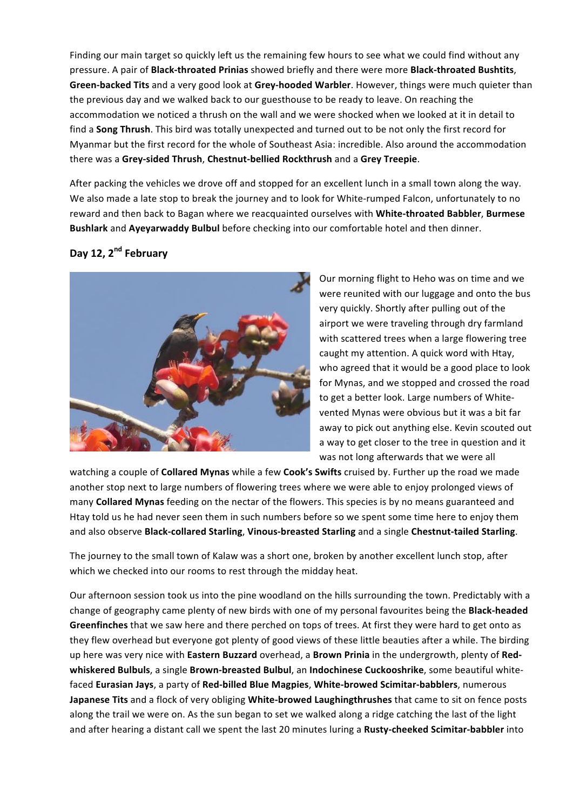Finding our main target so quickly left us the remaining few hours to see what we could find without any pressure. A pair of **Black-throated Prinias** showed briefly and there were more **Black-throated Bushtits**, **Green-backed Tits** and a very good look at Grey-hooded Warbler. However, things were much quieter than the previous day and we walked back to our guesthouse to be ready to leave. On reaching the accommodation we noticed a thrush on the wall and we were shocked when we looked at it in detail to find a **Song Thrush**. This bird was totally unexpected and turned out to be not only the first record for Myanmar but the first record for the whole of Southeast Asia: incredible. Also around the accommodation there was a **Grey-sided Thrush**, **Chestnut-bellied Rockthrush** and a **Grey Treepie**.

After packing the vehicles we drove off and stopped for an excellent lunch in a small town along the way. We also made a late stop to break the journey and to look for White-rumped Falcon, unfortunately to no reward and then back to Bagan where we reacquainted ourselves with **White-throated Babbler, Burmese Bushlark** and **Ayeyarwaddy Bulbul** before checking into our comfortable hotel and then dinner.

## **Day 12, 2nd February**



Our morning flight to Heho was on time and we were reunited with our luggage and onto the bus very quickly. Shortly after pulling out of the airport we were traveling through dry farmland with scattered trees when a large flowering tree caught my attention. A quick word with Htay, who agreed that it would be a good place to look for Mynas, and we stopped and crossed the road to get a better look. Large numbers of Whitevented Mynas were obvious but it was a bit far away to pick out anything else. Kevin scouted out a way to get closer to the tree in question and it was not long afterwards that we were all

watching a couple of **Collared Mynas** while a few **Cook's Swifts** cruised by. Further up the road we made another stop next to large numbers of flowering trees where we were able to enjoy prolonged views of many **Collared Mynas** feeding on the nectar of the flowers. This species is by no means guaranteed and Htay told us he had never seen them in such numbers before so we spent some time here to enjoy them and also observe **Black-collared Starling**, Vinous-breasted Starling and a single Chestnut-tailed Starling.

The journey to the small town of Kalaw was a short one, broken by another excellent lunch stop, after which we checked into our rooms to rest through the midday heat.

Our afternoon session took us into the pine woodland on the hills surrounding the town. Predictably with a change of geography came plenty of new birds with one of my personal favourites being the **Black-headed** Greenfinches that we saw here and there perched on tops of trees. At first they were hard to get onto as they flew overhead but everyone got plenty of good views of these little beauties after a while. The birding up here was very nice with Eastern Buzzard overhead, a Brown Prinia in the undergrowth, plenty of Red**whiskered Bulbuls**, a single **Brown-breasted Bulbul**, an **Indochinese Cuckooshrike**, some beautiful whitefaced **Eurasian Jays**, a party of Red-billed Blue Magpies, White-browed Scimitar-babblers, numerous Japanese Tits and a flock of very obliging White-browed Laughingthrushes that came to sit on fence posts along the trail we were on. As the sun began to set we walked along a ridge catching the last of the light and after hearing a distant call we spent the last 20 minutes luring a Rusty-cheeked Scimitar-babbler into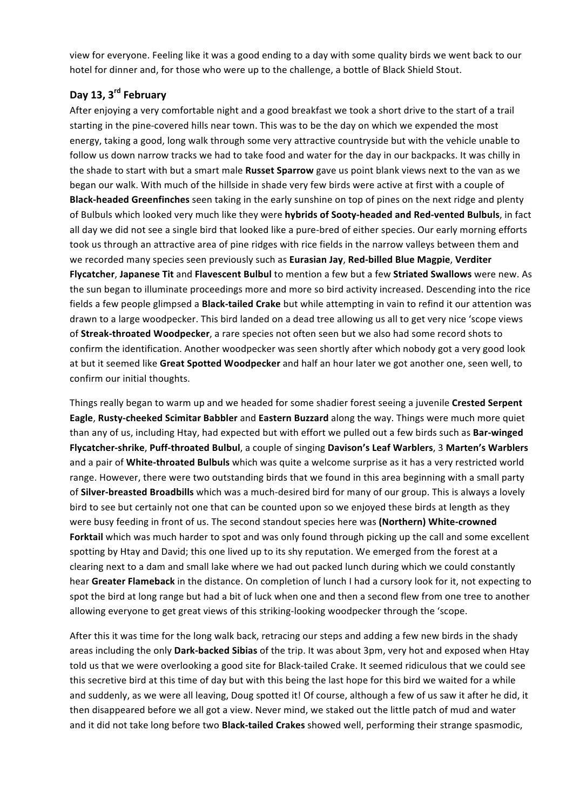view for everyone. Feeling like it was a good ending to a day with some quality birds we went back to our hotel for dinner and, for those who were up to the challenge, a bottle of Black Shield Stout.

## **Day 13, 3rd February**

After enjoying a very comfortable night and a good breakfast we took a short drive to the start of a trail starting in the pine-covered hills near town. This was to be the day on which we expended the most energy, taking a good, long walk through some very attractive countryside but with the vehicle unable to follow us down narrow tracks we had to take food and water for the day in our backpacks. It was chilly in the shade to start with but a smart male **Russet Sparrow** gave us point blank views next to the van as we began our walk. With much of the hillside in shade very few birds were active at first with a couple of **Black-headed Greenfinches** seen taking in the early sunshine on top of pines on the next ridge and plenty of Bulbuls which looked very much like they were **hybrids of Sooty-headed and Red-vented Bulbuls**, in fact all day we did not see a single bird that looked like a pure-bred of either species. Our early morning efforts took us through an attractive area of pine ridges with rice fields in the narrow valleys between them and we recorded many species seen previously such as **Eurasian Jay, Red-billed Blue Magpie, Verditer Flycatcher, Japanese Tit** and Flavescent Bulbul to mention a few but a few Striated Swallows were new. As the sun began to illuminate proceedings more and more so bird activity increased. Descending into the rice fields a few people glimpsed a **Black-tailed Crake** but while attempting in vain to refind it our attention was drawn to a large woodpecker. This bird landed on a dead tree allowing us all to get very nice 'scope views of **Streak-throated Woodpecker**, a rare species not often seen but we also had some record shots to confirm the identification. Another woodpecker was seen shortly after which nobody got a very good look at but it seemed like Great Spotted Woodpecker and half an hour later we got another one, seen well, to confirm our initial thoughts.

Things really began to warm up and we headed for some shadier forest seeing a juvenile Crested Serpent **Eagle, Rusty-cheeked Scimitar Babbler** and Eastern Buzzard along the way. Things were much more quiet than any of us, including Htay, had expected but with effort we pulled out a few birds such as Bar-winged **Flycatcher-shrike**, **Puff-throated Bulbul**, a couple of singing **Davison's Leaf Warblers**, 3 **Marten's Warblers** and a pair of White-throated Bulbuls which was quite a welcome surprise as it has a very restricted world range. However, there were two outstanding birds that we found in this area beginning with a small party of **Silver-breasted Broadbills** which was a much-desired bird for many of our group. This is always a lovely bird to see but certainly not one that can be counted upon so we enjoyed these birds at length as they were busy feeding in front of us. The second standout species here was (Northern) White-crowned Forktail which was much harder to spot and was only found through picking up the call and some excellent spotting by Htay and David; this one lived up to its shy reputation. We emerged from the forest at a clearing next to a dam and small lake where we had out packed lunch during which we could constantly hear Greater Flameback in the distance. On completion of lunch I had a cursory look for it, not expecting to spot the bird at long range but had a bit of luck when one and then a second flew from one tree to another allowing everyone to get great views of this striking-looking woodpecker through the 'scope.

After this it was time for the long walk back, retracing our steps and adding a few new birds in the shady areas including the only Dark-backed Sibias of the trip. It was about 3pm, very hot and exposed when Htay told us that we were overlooking a good site for Black-tailed Crake. It seemed ridiculous that we could see this secretive bird at this time of day but with this being the last hope for this bird we waited for a while and suddenly, as we were all leaving, Doug spotted it! Of course, although a few of us saw it after he did, it then disappeared before we all got a view. Never mind, we staked out the little patch of mud and water and it did not take long before two **Black-tailed Crakes** showed well, performing their strange spasmodic,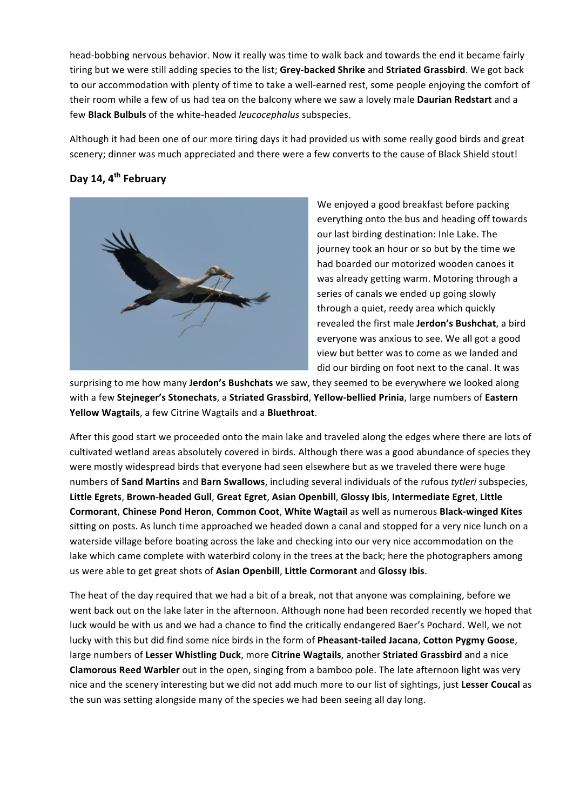head-bobbing nervous behavior. Now it really was time to walk back and towards the end it became fairly tiring but we were still adding species to the list: Grey-backed Shrike and Striated Grassbird. We got back to our accommodation with plenty of time to take a well-earned rest, some people enjoying the comfort of their room while a few of us had tea on the balcony where we saw a lovely male Daurian Redstart and a few **Black Bulbuls** of the white-headed *leucocephalus* subspecies.

Although it had been one of our more tiring days it had provided us with some really good birds and great scenery; dinner was much appreciated and there were a few converts to the cause of Black Shield stout!

## **Day 14, 4th February**



We enjoyed a good breakfast before packing everything onto the bus and heading off towards our last birding destination: Inle Lake. The journey took an hour or so but by the time we had boarded our motorized wooden canoes it was already getting warm. Motoring through a series of canals we ended up going slowly through a quiet, reedy area which quickly revealed the first male **Jerdon's Bushchat**, a bird everyone was anxious to see. We all got a good view but better was to come as we landed and did our birding on foot next to the canal. It was

surprising to me how many **Jerdon's Bushchats** we saw, they seemed to be everywhere we looked along with a few Stejneger's Stonechats, a Striated Grassbird, Yellow-bellied Prinia, large numbers of Eastern Yellow Wagtails, a few Citrine Wagtails and a Bluethroat.

After this good start we proceeded onto the main lake and traveled along the edges where there are lots of cultivated wetland areas absolutely covered in birds. Although there was a good abundance of species they were mostly widespread birds that everyone had seen elsewhere but as we traveled there were huge numbers of **Sand Martins** and **Barn Swallows**, including several individuals of the rufous tytleri subspecies, Little Egrets, Brown-headed Gull, Great Egret, Asian Openbill, Glossy Ibis, Intermediate Egret, Little **Cormorant**, **Chinese Pond Heron**, **Common Coot**, **White Wagtail** as well as numerous **Black-winged Kites** sitting on posts. As lunch time approached we headed down a canal and stopped for a very nice lunch on a waterside village before boating across the lake and checking into our very nice accommodation on the lake which came complete with waterbird colony in the trees at the back; here the photographers among us were able to get great shots of Asian Openbill, Little Cormorant and Glossy Ibis.

The heat of the day required that we had a bit of a break, not that anyone was complaining, before we went back out on the lake later in the afternoon. Although none had been recorded recently we hoped that luck would be with us and we had a chance to find the critically endangered Baer's Pochard. Well, we not lucky with this but did find some nice birds in the form of **Pheasant-tailed Jacana**, **Cotton Pygmy Goose**, large numbers of Lesser Whistling Duck, more Citrine Wagtails, another Striated Grassbird and a nice **Clamorous Reed Warbler** out in the open, singing from a bamboo pole. The late afternoon light was very nice and the scenery interesting but we did not add much more to our list of sightings, just Lesser Coucal as the sun was setting alongside many of the species we had been seeing all day long.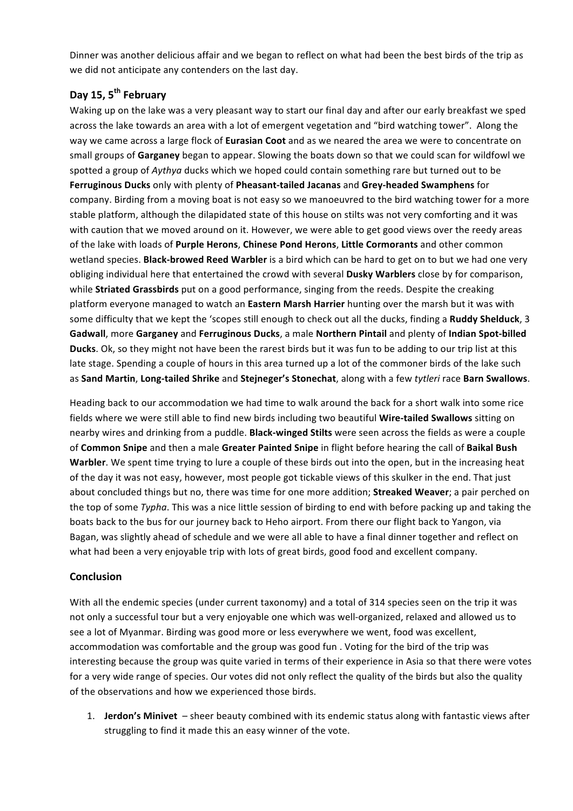Dinner was another delicious affair and we began to reflect on what had been the best birds of the trip as we did not anticipate any contenders on the last day.

## **Day 15, 5th February**

Waking up on the lake was a very pleasant way to start our final day and after our early breakfast we sped across the lake towards an area with a lot of emergent vegetation and "bird watching tower". Along the way we came across a large flock of **Eurasian Coot** and as we neared the area we were to concentrate on small groups of Garganey began to appear. Slowing the boats down so that we could scan for wildfowl we spotted a group of *Aythya* ducks which we hoped could contain something rare but turned out to be **Ferruginous Ducks** only with plenty of **Pheasant-tailed Jacanas** and **Grey-headed Swamphens** for company. Birding from a moving boat is not easy so we manoeuvred to the bird watching tower for a more stable platform, although the dilapidated state of this house on stilts was not very comforting and it was with caution that we moved around on it. However, we were able to get good views over the reedy areas of the lake with loads of Purple Herons, Chinese Pond Herons, Little Cormorants and other common wetland species. **Black-browed Reed Warbler** is a bird which can be hard to get on to but we had one very obliging individual here that entertained the crowd with several Dusky Warblers close by for comparison, while **Striated Grassbirds** put on a good performance, singing from the reeds. Despite the creaking platform everyone managed to watch an **Eastern Marsh Harrier** hunting over the marsh but it was with some difficulty that we kept the 'scopes still enough to check out all the ducks, finding a **Ruddy Shelduck**, 3 Gadwall, more Garganey and Ferruginous Ducks, a male Northern Pintail and plenty of Indian Spot-billed **Ducks**. Ok, so they might not have been the rarest birds but it was fun to be adding to our trip list at this late stage. Spending a couple of hours in this area turned up a lot of the commoner birds of the lake such as Sand Martin, Long-tailed Shrike and Stejneger's Stonechat, along with a few tytleri race Barn Swallows.

Heading back to our accommodation we had time to walk around the back for a short walk into some rice fields where we were still able to find new birds including two beautiful **Wire-tailed Swallows** sitting on nearby wires and drinking from a puddle. Black-winged Stilts were seen across the fields as were a couple of **Common Snipe** and then a male Greater Painted Snipe in flight before hearing the call of Baikal Bush **Warbler**. We spent time trying to lure a couple of these birds out into the open, but in the increasing heat of the day it was not easy, however, most people got tickable views of this skulker in the end. That just about concluded things but no, there was time for one more addition; **Streaked Weaver**; a pair perched on the top of some *Typha*. This was a nice little session of birding to end with before packing up and taking the boats back to the bus for our journey back to Heho airport. From there our flight back to Yangon, via Bagan, was slightly ahead of schedule and we were all able to have a final dinner together and reflect on what had been a very enjoyable trip with lots of great birds, good food and excellent company.

### **Conclusion**

With all the endemic species (under current taxonomy) and a total of 314 species seen on the trip it was not only a successful tour but a very enjoyable one which was well-organized, relaxed and allowed us to see a lot of Myanmar. Birding was good more or less everywhere we went, food was excellent, accommodation was comfortable and the group was good fun. Voting for the bird of the trip was interesting because the group was quite varied in terms of their experience in Asia so that there were votes for a very wide range of species. Our votes did not only reflect the quality of the birds but also the quality of the observations and how we experienced those birds.

1. **Jerdon's Minivet** – sheer beauty combined with its endemic status along with fantastic views after struggling to find it made this an easy winner of the vote.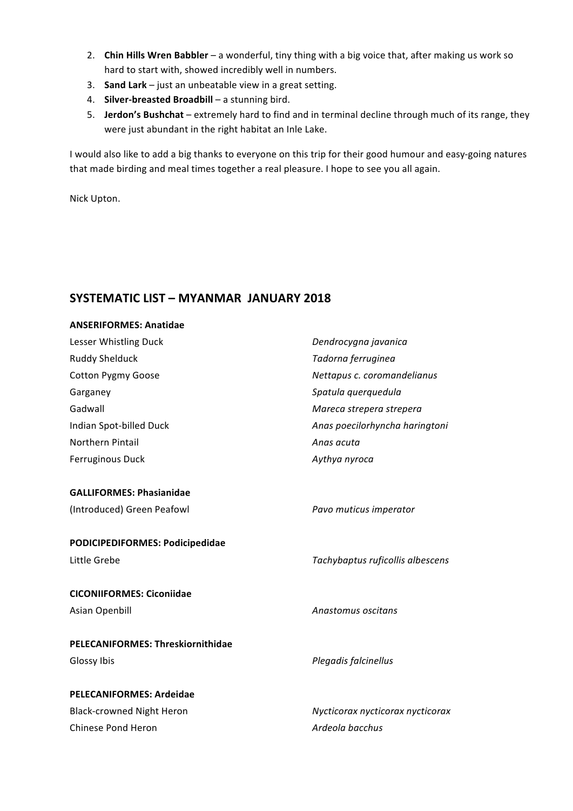- 2. **Chin Hills Wren Babbler** a wonderful, tiny thing with a big voice that, after making us work so hard to start with, showed incredibly well in numbers.
- 3. **Sand Lark** just an unbeatable view in a great setting.
- 4. **Silver-breasted Broadbill** a stunning bird.
- 5. **Jerdon's Bushchat** extremely hard to find and in terminal decline through much of its range, they were just abundant in the right habitat an Inle Lake.

I would also like to add a big thanks to everyone on this trip for their good humour and easy-going natures that made birding and meal times together a real pleasure. I hope to see you all again.

Nick Upton.

## **SYSTEMATIC LIST – MYANMAR JANUARY 2018**

## **ANSERIFORMES: Anatidae** Lesser Whistling Duck **Dendrocygna** javanica Ruddy Shelduck *Tadorna ferruginea* Cotton Pygmy Goose *Nettapus c. coromandelianus* Garganey **Garganey Spatula** querquedula Gadwall **Gadwall Gadwall Gadwall Gadwall Mareca** strepera Indian Spot-billed Duck *Anas poecilorhyncha haringtoni* **Northern Pintail** *Anas acuta* Ferruginous Duck *Aythya nyroca* **GALLIFORMES: Phasianidae** (Introduced) Green Peafowl *Pavo muticus imperator* **PODICIPEDIFORMES: Podicipedidae** Little Grebe *Tachybaptus ruficollis albescens* **CICONIIFORMES: Ciconiidae** Asian Openbill **Anastomus** oscitans **PELECANIFORMES: Threskiornithidae** Glossy Ibis *Plegadis falcinellus Plegadis falcinellus* **PELECANIFORMES: Ardeidae** Black-crowned Night Heron *Nycticorax nycticorax nycticorax* Chinese Pond Heron *Ardeola bacchus*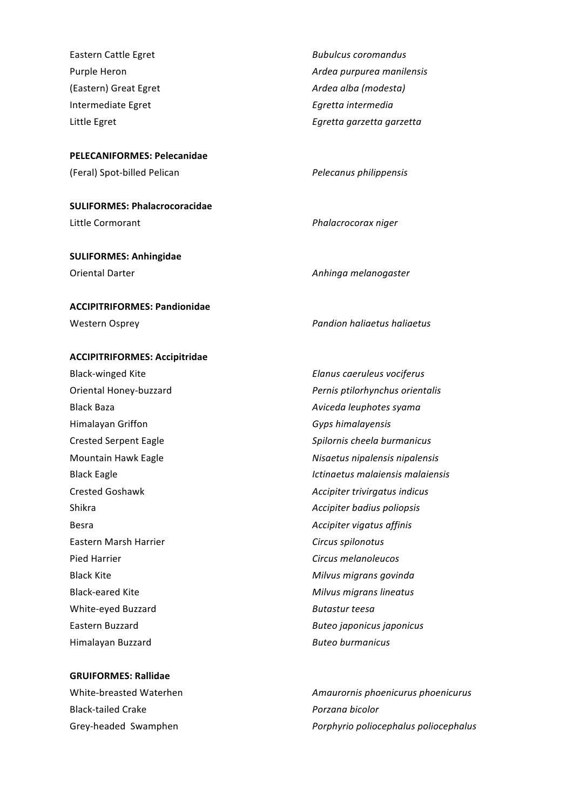Eastern Cattle Egret **Bubulcus** *Bubulcus coromandus Bubulcus coromandus* (Eastern) Great Egret *Ardea alba* (*modesta*) Intermediate Egret *Egretta* intermedia

**PELECANIFORMES: Pelecanidae** (Feral) Spot-billed Pelican *Pelecanus philippensis*

**SULIFORMES: Phalacrocoracidae** Little Cormorant *Phalacrocorax niger Phalacrocorax niger* 

**SULIFORMES: Anhingidae** Oriental Darter **Anhinga** melanogaster

#### **ACCIPITRIFORMES: Pandionidae**

#### **ACCIPITRIFORMES: Accipitridae**

Black-winged Kite *Elanus caeruleus vociferus* Black Baza *Aviceda leuphotes syama Aviceda leuphotes syama* Himalayan Griffon *Gyps himalayensis* Shikra *Accipiter badius poliopsis Accipiter badius poliopsis* Besra *Accipiter vigatus affinis* Eastern Marsh Harrier **Circus** *Circus spilonotus* Pied Harrier **Circus** melanoleucos Black Kite *Milvus migrans govinda* Black-eared Kite **Miller and Allack-eared** Kite **Miller and Allack** Miller Miller Miller Miller Miller Miller Miller Miller Miller Miller Miller Miller Miller Miller Miller Miller Miller Miller Miller Miller Miller Miller White-eyed Buzzard **Butastur** teesa Himalayan Buzzard *Buteo burmanicus*

#### **GRUIFORMES: Rallidae**

Black-tailed Crake *Porzana bicolor* 

Purple Heron *Ardea purpurea manilensis* Little Egret **Egretta** *Egretta garzetta Egretta garzetta* 

Western Osprey *Pandion haliaetus haliaetus*

Oriental Honey-buzzard *Pernis ptilorhynchus orientalis* Crested Serpent Eagle *Spilornis cheela burmanicus* Mountain Hawk Eagle *Nisaetus nipalensis nipalensis* Black Eagle *Ictinaetus malaiensis malaiensis* Crested Goshawk *Accipiter trivirgatus indicus* Eastern Buzzard *Buteo japonicus japonicus*

White-breasted Waterhen **Amaurornis** phoenicurus phoenicurus Grey-headed Swamphen *Porphyrio poliocephalus poliocephalus poliocephalus Porphyrio poliocephalus*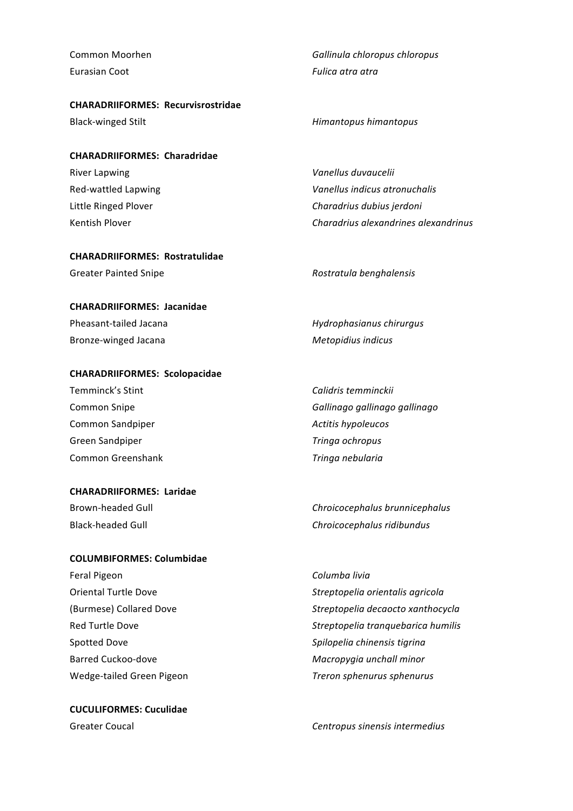Eurasian Coot **Fulica** atra atra

**CHARADRIIFORMES: Recurvisrostridae**

#### **CHARADRIIFORMES: Charadridae**

River Lapwing *Vanellus duvaucelii Vanellus duvaucelii* Red-wattled Lapwing *Vanellus indicus atronuchalis Vanellus indicus atronuchalis* Little Ringed Plover **Charadrius** dubius jerdoni Kentish Plover *Charadrius alexandrines alexandrinus Charadrius alexandrinus* 

#### **CHARADRIIFORMES: Rostratulidae**

| Greater Painted Snipe | Rostratula benghalensis |
|-----------------------|-------------------------|
|-----------------------|-------------------------|

#### **CHARADRIIFORMES: Jacanidae**

Bronze-winged Jacana **Metopidius** indicus

#### **CHARADRIIFORMES: Scolopacidae**

Temminck's Stint **Calidris** *Calidris* temminckii Common Sandpiper *Active Sandpiper Actitis hypoleucos* Green Sandpiper *Tringa ochropus* Common Greenshank *Tringa nebularia* 

#### **CHARADRIIFORMES: Laridae**

#### **COLUMBIFORMES: Columbidae**

Feral Pigeon **Columba** livia Spotted Dove **Spilopelia** chinensis tigrina Barred Cuckoo-dove *Macropygia* unchall minor

**CUCULIFORMES: Cuculidae**

**Common Moorhen Gallinula chloropus chloropus** 

#### Black-winged Stilt **Himantopus** *Himantopus himantopus*

Pheasant-tailed Jacana *Hydrophasianus chirurgus* 

Common Snipe *Gallinago gallinago gallinago*

Brown-headed Gull **Chronnicephalus Chroicocephalus** *Chroicocephalus brunnicephalus* Black-headed Gull **Chronic Chroicocephalus** ridibundus

Oriental Turtle Dove *Streptopelia orientalis agricola* (Burmese) Collared Dove *Streptopelia decaocto xanthocycla* Red Turtle Dove *Streptopelia tranquebarica humilis* Wedge-tailed Green Pigeon *Treron sphenurus sphenurus*

Greater Coucal **Centropus** *Centropus sinensis intermedius* **Centropus** *Centropus sinensis intermedius*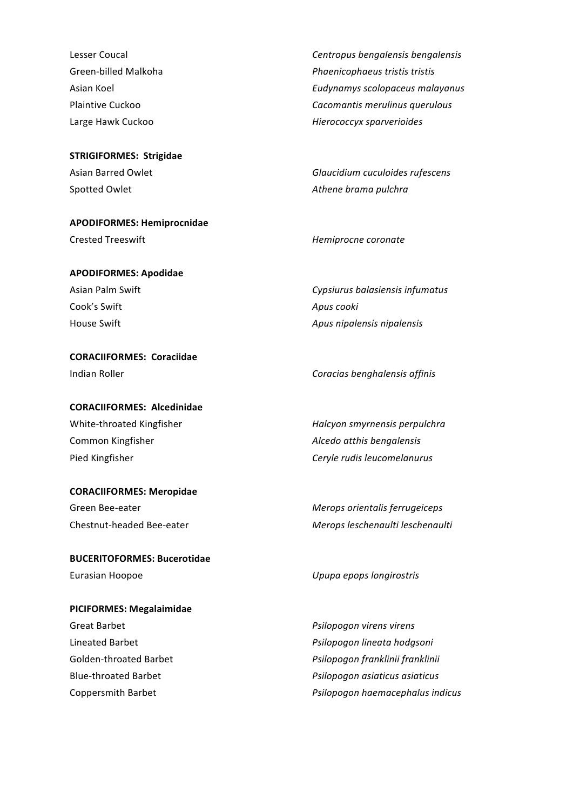**STRIGIFORMES: Strigidae** Spotted Owlet **Athene** brama pulchrama pulchrama pulchrama pulchrama pulchrama pulchrama pulchrama pulchrama pulchrama pulchrama pulchrama pulchrama pulchrama pulchrama pulchrama pulchrama pulchrama pulchrama pulchrama pul

**APODIFORMES: Hemiprocnidae** Crested Treeswift *Crested Treeswift Hemiprocne coronate* 

**APODIFORMES: Apodidae** Cook's Swift **Apus** cooki

**CORACIIFORMES: Coraciidae** Indian Roller *Coracias benghalensis affinis*

**CORACIIFORMES: Alcedinidae** White-throated Kingfisher *Halcyon smyrnensis perpulchra Halcyon smyrnensis perpulchra* Common Kingfisher *Alcedo atthis bengalensis* 

**CORACIIFORMES: Meropidae** Green Bee-eater *Merops orientalis ferrugeiceps* 

**BUCERITOFORMES: Bucerotidae** Eurasian Hoopoe *Upupa epops longirostris*

**PICIFORMES: Megalaimidae** Great Barbet *Psilopogon virens Psilopogon virens* 

Lesser Coucal **Centropus** *Centropus bengalensis bengalensis Centropus bengalensis Centropus bengalensis* Green-billed Malkoha *Phaenicophaeus tristis* tristis Asian Koel *Eudynamys scolopaceus malayanus* Plaintive Cuckoo **Cacomantis** merulinus querulous Large Hawk Cuckoo **Michael Accocciats** Hierococcyx sparverioides

Asian Barred Owlet **Glaucidium** cuculoides rufescens

Asian Palm Swift **Cypsiurus** balasiensis infumatus House Swift **Apus** nigalensis nipalensis in Apus nigalensis nigalensis

Pied Kingfisher **Ceryle rudis** leucomelanurus **Ceryle** rudis leucomelanurus

Chestnut-headed Bee-eater **Merops** leschenaulti leschenaulti

Lineated Barbet *Psilopogon lineata hodgsoni* Golden-throated Barbet *Psilopogon franklinii franklinii* Blue-throated Barbet *Psilopogon asiaticus Psilopogon asiaticus* Coppersmith Barbet *Psilopogon haemacephalus indicus*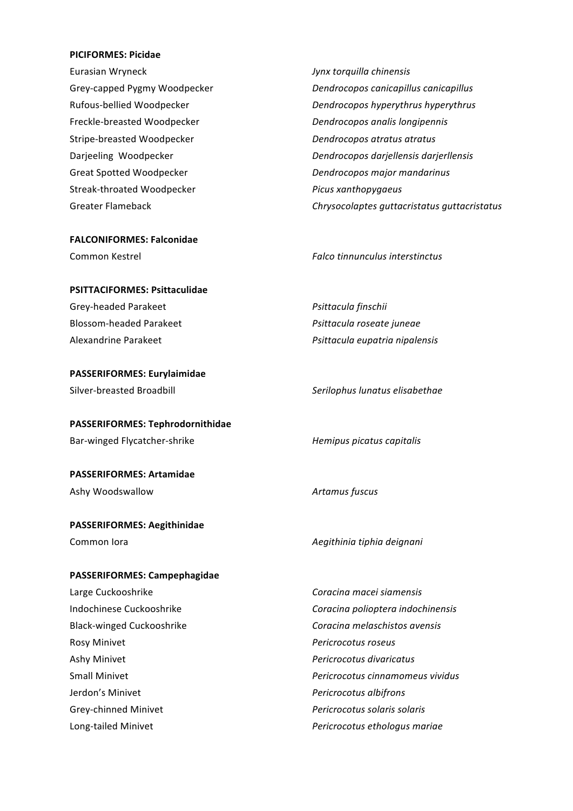#### **PICIFORMES: Picidae**

Eurasian Wryneck *Jynx torquilla chinensis* Freckle-breasted Woodpecker *Dendrocopos analis longipennis* Stripe-breasted Woodpecker *Dendrocopos atratus atratus* Great Spotted Woodpecker *Dendrocopos major mandarinus* Streak-throated Woodpecker *Picus xanthopygaeus*

**FALCONIFORMES: Falconidae** 

#### **PSITTACIFORMES: Psittaculidae**

Grey-headed Parakeet *Psittacula finschii* Blossom-headed Parakeet *Psittacula roseate juneae* 

**PASSERIFORMES: Eurylaimidae**

**PASSERIFORMES: Tephrodornithidae** Bar-winged Flycatcher-shrike *Hemipus picatus capitalis* 

**PASSERIFORMES: Artamidae** Ashy Woodswallow **Artamus** fuscus

**PASSERIFORMES: Aegithinidae** Common lora *Aegithinia tiphia deignani* 

#### **PASSERIFORMES: Campephagidae**

Large Cuckooshrike *Coracina macei siamensis* Rosy Minivet *Pericrocotus roseus* Ashy Minivet *Pericrocotus divaricatus* **Jerdon's Minivet** *Pericrocotus albifrons* Grey-chinned Minivet *Pericrocotus solaris Pericrocotus solaris solaris* 

Grey-capped Pygmy Woodpecker **Dendrocopos** canicapillus canicapillus Rufous-bellied Woodpecker *Dendrocopos hyperythrus hyperythrus* Darjeeling Woodpecker *Dendrocopos darjellensis darjerllensis* Greater Flameback **Chrysocolaptes** guttacristatus guttacristatus

Common Kestrel *Falco tinnunculus interstinctus*

Alexandrine Parakeet *Psittacula eupatria nipalensis*

Silver-breasted Broadbill *Serilophus lunatus elisabethae*

Indochinese Cuckooshrike *Coracina polioptera indochinensis* Black-winged Cuckooshrike *Coracina melaschistos avensis* Small Minivet *Pericrocotus cinnamomeus vividus* Long-tailed Minivet *Pericrocotus ethologus mariae*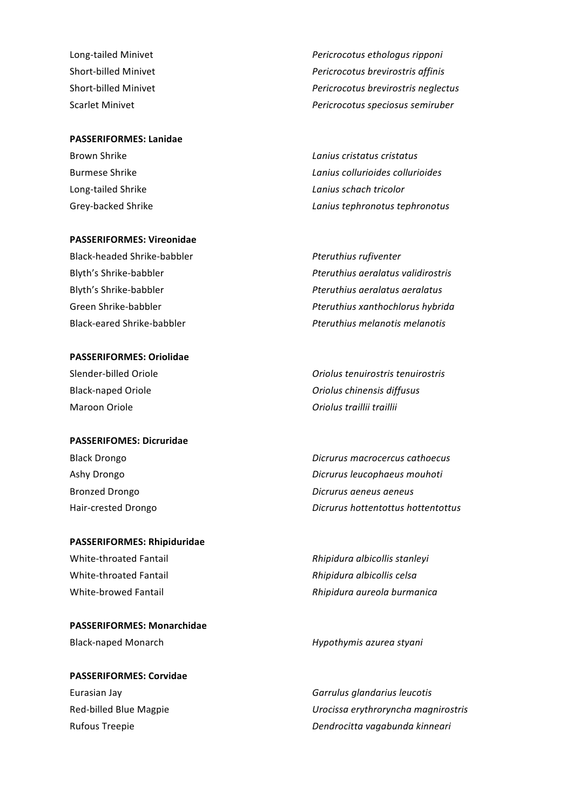#### **PASSERIFORMES: Lanidae**

#### **PASSERIFORMES: Vireonidae**

Black-headed Shrike-babbler *Pteruthius rufiventer* 

#### **PASSERIFORMES: Oriolidae**

Maroon Oriole *Oriolus traillii traillii* 

#### **PASSERIFOMES: Dicruridae**

#### **PASSERIFORMES: Rhipiduridae**

**PASSERIFORMES: Monarchidae**

**PASSERIFORMES: Corvidae** Eurasian Jay **Garrulus** *Garrulus glandarius leucotis* **Garrulus** *Garrulus glandarius leucotis* 

Long-tailed Minivet *Pericrocotus ethologus ripponi* Short-billed Minivet *Pericrocotus brevirostris affinis* Short-billed Minivet *Pericrocotus brevirostris neglectus* Scarlet Minivet *Pericrocotus speciosus semiruber* 

Brown Shrike *Lanius cristatus cristatus* Burmese Shrike *Lanius collurioides collurioides* Long-tailed Shrike *Lanius schach tricolor Lanius schach tricolor* Grey-backed Shrike *Lanius tephronotus Lanius tephronotus Lanius tephronotus* 

Blyth's Shrike-babbler *Pteruthius aeralatus validirostris* Blyth's Shrike-babbler *Pteruthius aeralatus aeralatus* Green Shrike-babbler *Pteruthius xanthochlorus hybrida* Black-eared Shrike-babbler *Pteruthius melanotis melanotis*

Slender-billed Oriole *Oriolus tenuirostris tenuirostris* Black-naped Oriole *Oriolus chinensis diffusus* 

Black Drongo **Black Drongo** *Dicrurus macrocercus cathoecus* Ashy Drongo *Dicrurus leucophaeus mouhoti Dicrurus leucophaeus mouhoti* Bronzed Drongo *Dicrurus aeneus aeneus* Hair-crested Drongo *Dicrurus hottentottus hottentottus* 

White-throated Fantail *Rhipidura albicollis stanleyi Rhipidura albicollis stanleyi* White-throated Fantail *Rhipidura albicollis celsa* White-browed Fantail *Rhipidura aureola burmanica* 

Black-naped Monarch *Hypothymis azurea styani* 

Red-billed Blue Magpie *Urocissa erythroryncha magnirostris* Rufous Treepie *Dendrocitta vagabunda kinneari Dendrocitta vagabunda kinneari*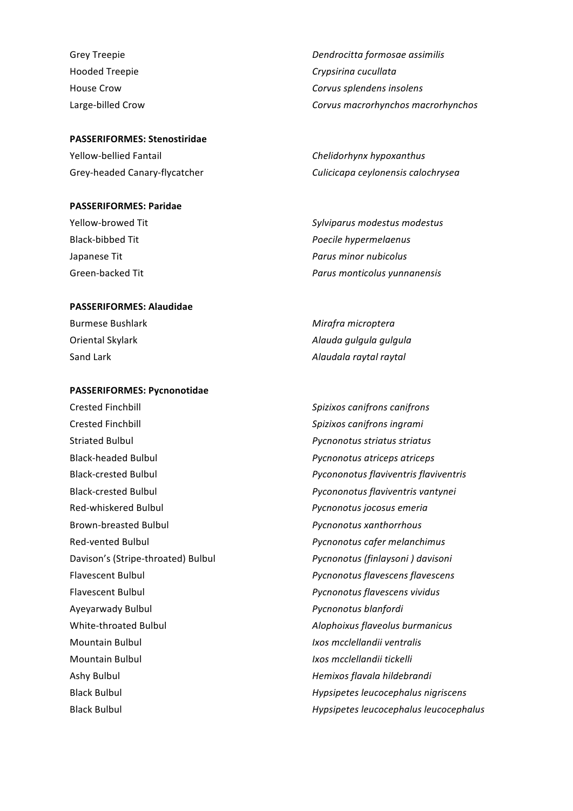#### **PASSERIFORMES: Stenostiridae**

Yellow-bellied Fantail *Chelidorhynx hypoxanthus*

#### **PASSERIFORMES: Paridae**

#### **PASSERIFORMES: Alaudidae**

Burmese Bushlark *Mirafra microptera* 

#### **PASSERIFORMES: Pycnonotidae**

Crested Finchbill **Crested** Finchbill **Spizixos** canifrons canifrons Crested Finchbill **Crested** Finchbill **Spizixos** canifrons ingrami Striated Bulbul *Pycnonotus striatus striatus* Black-headed Bulbul *Pycnonotus atriceps atriceps* Black-crested Bulbul *Pycononotus flaviventris vantynei* Red-whiskered Bulbul *National Bulbul Red-whiskered Bulbul Red-whiskered Bulbul Red-whiskered Bulbul* **<b>***Red-whiskered Bulbul Red-whiskered Bulbul Red-whiskered Bulbul Red-whiskered Bulbul* Brown-breasted Bulbul *Pycnonotus xanthorrhous* Red-vented Bulbul *Pycnonotus cafer melanchimus* Davison's (Stripe-throated) Bulbul *Pycnonotus (finlaysoni ) davisoni* Flavescent Bulbul *Pycnonotus flavescens Pycnonotus flavescens* Flavescent Bulbul *Pycnonotus flavescens vividus* Ayeyarwady Bulbul *Pycnonotus blanfordi* White-throated Bulbul *Alophoixus flaveolus burmanicus* **Mountain Bulbul** *Ixos mcclellandii* ventralis Mountain Bulbul **III and** *Ixos mcclellandii* tickelli Ashy Bulbul *Hemixos flavala hildebrandi*

Grey Treepie *Dendrocitta formosae assimilis* Hooded Treepie **Crypsirina** cucullata House Crow **Corvus** splendens insolens Large-billed Crow *Corvus macrorhynchos macrorhynchos*

Grey-headed Canary-flycatcher *Culicicapa ceylonensis calochrysea*

Yellow-browed Tit *Sylviparus modestus modestus* Black-bibbed Tit *Poecile hypermelaenus* Japanese Tit *Parus minor nubicolus Parus minor nubicolus* Green-backed Tit *Parus monticolus yunnanensis*

Oriental Skylark *Alauda gulgula gulgula Alauda gulgula* Sand Lark *Alaudala raytal raytal* 

Black-crested Bulbul *Pycononotus flaviventris flaviventris* Black Bulbul *Hypsipetes leucocephalus nigriscens* Black Bulbul **Black** Bulbul **Hypsipetes** *Hypsipetes leucocephalus leucocephalus*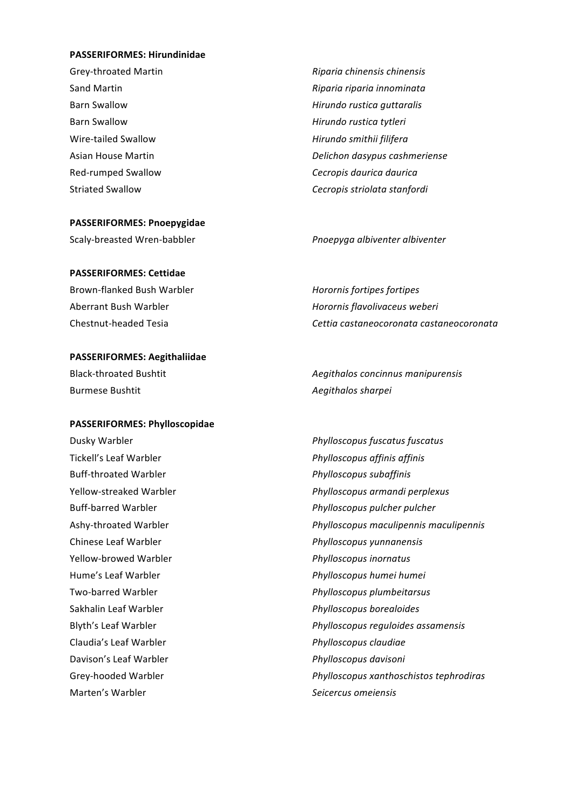#### **PASSERIFORMES: Hirundinidae**

Grey-throated Martin *Riparia chinensis chinensis* Barn Swallow **Barn Swallow Hirundo** rustica tytleri Wire-tailed Swallow **Michael Contract Contract Contract Contract Contract Contract Contract Contract Contract Contract Contract Contract Contract Contract Contract Contract Contract Contract Contract Contract Contract Cont** 

#### **PASSERIFORMES: Pnoepygidae**

#### **PASSERIFORMES: Cettidae**

Brown-flanked Bush Warbler *Horornis fortipes fortipes*

#### **PASSERIFORMES: Aegithaliidae**

Burmese Bushtit **Australia Expansion Additional Aegithalos** sharpeing and an Aegithalos sharpeing and all and a

#### **PASSERIFORMES: Phylloscopidae**

Tickell's Leaf Warbler *Phylloscopus affinis affinis* Buff-throated Warbler *Phylloscopus subaffinis* Chinese Leaf Warbler *Phylloscopus yunnanensis* Yellow-browed Warbler *Phylloscopus inornatus* Sakhalin Leaf Warbler *Phylloscopus borealoides* Claudia's Leaf Warbler *Phylloscopus claudiae* Davison's Leaf Warbler *Phylloscopus davisoni* Marten's Warbler *Seicercus omeiensis*

Sand Martin *Riparia riparia innominata* Barn Swallow **Barn Swallow Hirundo** rustica guttaralis Asian House Martin *Delichon dasypus cashmeriense* Red-rumped Swallow **Cecropis** daurica daurica Striated Swallow **Cecropis** striolata stanfordi

Scaly-breasted Wren-babbler *Pnoepyga albiventer albiventer* 

Aberrant Bush Warbler **Markell** *Horornis flavolivaceus* weberi Chestnut-headed Tesia *Cettia castaneocoronata castaneocoronata*

Black-throated Bushtit **Accompanyier 1996** Aegithalos concinnus manipurensis

Dusky Warbler *Phylloscopus fuscatus Phylloscopus fuscatus fuscatus* Yellow-streaked Warbler *Phylloscopus armandi perplexus* Buff-barred Warbler *Phylloscopus pulcher pulcher* Ashy-throated Warbler *Phylloscopus maculipennis maculipennis* Hume's Leaf Warbler *Phylloscopus humei humei* Two-barred Warbler *Phylloscopus plumbeitarsus* Blyth's Leaf Warbler *Phylloscopus reguloides assamensis* Grey-hooded Warbler *Phylloscopus xanthoschistos tephrodiras*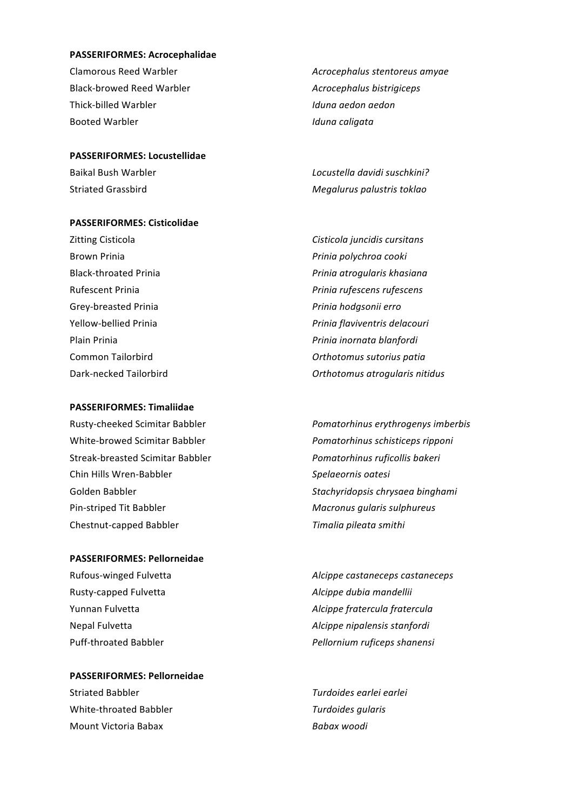#### **PASSERIFORMES: Acrocephalidae**

Clamorous Reed Warbler *Acrocephalus stentoreus amyae* Black-browed Reed Warbler *Acrocephalus bistrigiceps* Thick-billed Warbler *Iduna aedon aedon* Booted Warbler **Internal Controller** *Iduna caligata* 

**PASSERIFORMES: Locustellidae** Baikal Bush Warbler *Locustella davidi suschkini?*

#### **PASSERIFORMES: Cisticolidae**

Zitting Cisticola **Cisticola** *Cisticola juncidis cursitans* **Brown Prinia** *Prinia Prinia polychroa cooki* Grey-breasted Prinia *Princes* Prinia hodgsonii erro

#### **PASSERIFORMES: Timaliidae**

Streak-breasted Scimitar Babbler *Pomatorhinus ruficollis bakeri* Chin Hills Wren-Babbler **Spelaeornis** oatesi Pin-striped Tit Babbler *Macronus qularis sulphureus* Chestnut-capped Babbler *Timalia pileata smithi* 

#### **PASSERIFORMES: Pellorneidae**

Rusty-capped Fulvetta *Alcippe dubia mandellii*

**PASSERIFORMES: Pellorneidae**  Striated Babbler *Turdoides earlei earlei* White-throated Babbler *Turdoides gularis* Mount Victoria Babax *Babax woodi*

Striated Grassbird **Megalurus** palustris toklao

Black-throated Prinia *Prinia Prinia atrogularis khasiana* Rufescent Prinia *Prinia rufescens rufescens* Yellow-bellied Prinia *Prinia flaviventris delacouri* Plain Prinia *Prinia Prinia inornata blanfordi Prinia inornata blanfordi* Common Tailorbird **Common Tailorbird Common Tailor** Dark-necked Tailorbird *Orthotomus atrogularis nitidus* 

Rusty-cheeked Scimitar Babbler *Pomatorhinus erythrogenys imberbis* White-browed Scimitar Babbler *Pomatorhinus schisticeps ripponi* Golden Babbler *Stachyridopsis chrysaea binghami Stachyridopsis chrysaea binghami* 

Rufous-winged Fulvetta *Alcippe castaneceps castaneceps* Yunnan Fulvetta *Alcippe fratercula fratercula* Nepal Fulvetta *Alcippe nipalensis stanfordi* Puff-throated Babbler *Pellornium ruficeps shanensi*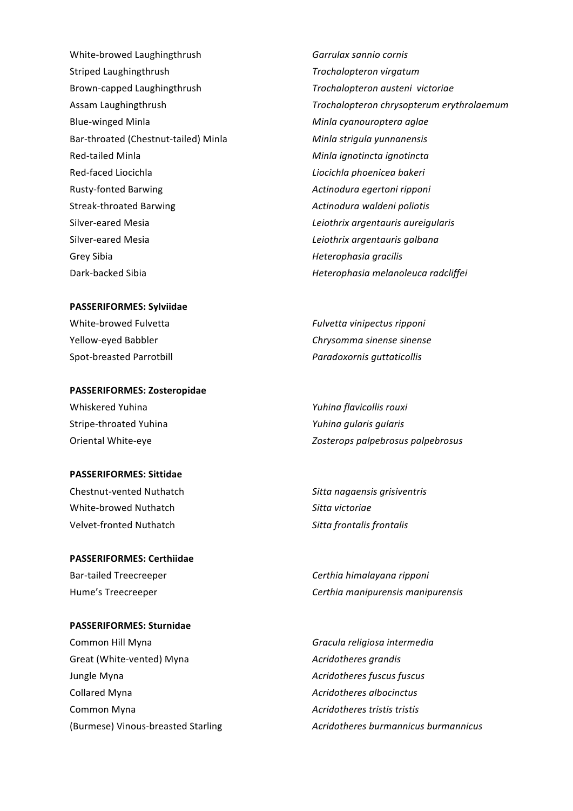White-browed Laughingthrush *Garrulax sannio cornis* Striped Laughingthrush **Trochalopteron** virgatum Brown-capped Laughingthrush *Trochalopteron austeni victoriae* Blue-winged Minla **Minla** *Minla cyanouroptera aglae Minla cyanouroptera aglae* Bar-throated (Chestnut-tailed) Minla **Minla** *Minla strigula yunnanensis* Red-tailed Minla **Minla** *Minla ignotincta* ignotincta Red-faced Liocichla *Liocichla Liocichla phoenicea bakeri* Rusty-fonted Barwing *Actinodura egertoni ripponi* Streak-throated Barwing *Actinodura waldeni poliotis Actinodura waldeni poliotis* Silver-eared Mesia *Leiothrix argentauris aureigularis* Silver-eared Mesia *Leiothrix argentauris galbana* Grey Sibia *Heterophasia gracilis Heterophasia gracilis* Dark-backed Sibia *Heterophasia melanoleuca radcliffei* 

#### **PASSERIFORMES: Sylviidae**

Spot-breasted Parrotbill *Paradoxornis guttaticollis* 

#### **PASSERIFORMES: Zosteropidae**

Whiskered Yuhina *Yuhina flavicollis rouxi* Stripe-throated Yuhina *Yuhina gularis gularis* 

#### **PASSERIFORMES: Sittidae**

Chestnut-vented Nuthatch *Sitta nagaensis grisiventris* White-browed Nuthatch **Sitta** victoriae Velvet-fronted Nuthatch **Sitta** frontalis frontalis

## **PASSERIFORMES: Certhiidae** Bar-tailed Treecreeper *Certhia himalayana ripponi*

## **PASSERIFORMES: Sturnidae** Common Hill Myna **Common Hill Myna Gracula religiosa** intermedia Great (White-vented) Myna *Acridotheres grandis Acridotheres grandis* **Jungle Myna** *Acridotheres fuscus fuscus Acridotheres fuscus* Collared Myna *Acridotheres albocinctus Acridotheres albocinctus* Common Myna *Acridotheres tristis tristis*

Assam Laughingthrush *Trochalopteron chrysopterum erythrolaemum*

White-browed Fulvetta *Fulvetta Fulvetta vinipectus ripponi* Yellow-eyed Babbler *Chrysomma sinense sinense*

Oriental White-eye *Zosterops palpebrosus palpebrosus* 

Hume's Treecreeper *Certhia manipurensis manipurensis* 

(Burmese) Vinous-breasted Starling *Acridotheres burmannicus burmannicus*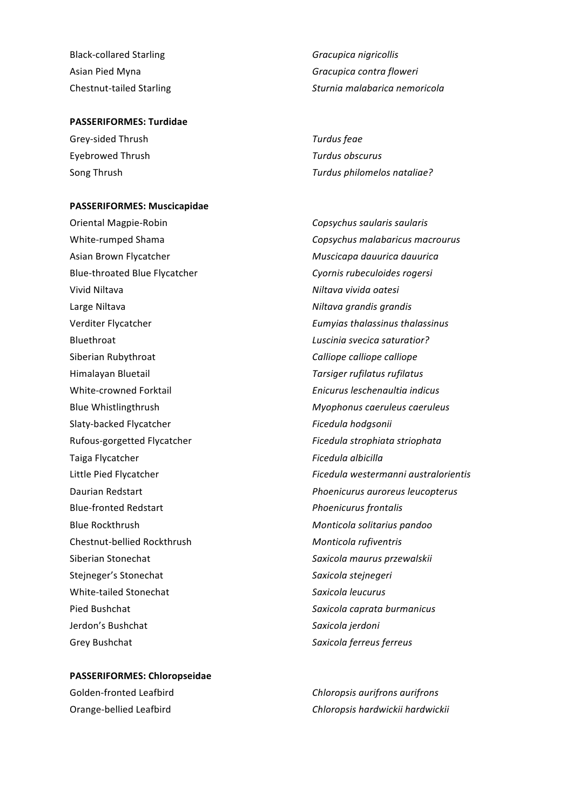Black-collared Starling *Gracupica nigricollis* 

#### **PASSERIFORMES: Turdidae**

Grey-sided Thrush **Turdus** feae Eyebrowed Thrush *Turdus obscurus*

#### **PASSERIFORMES: Muscicapidae**

Oriental Magpie-Robin **Copsychus** saularis saularis Asian Brown Flycatcher **Muscicapa dauurica** dauurica dauurica Blue-throated Blue Flycatcher **Cyonnis** rubeculoides rogersi Vivid Niltava *Niltava Niltava vivida oatesi* Large Niltava *Niltava grandis qrandis Niltava grandis qrandis* Verditer Flycatcher *Eumyias thalassinus thalassinus* **Bluethroat** *Luscinia svecica saturatior?* Siberian Rubythroat *Calliope calliope Calliope Calliope Calliope Calliope* Himalayan Bluetail *Tarsiger rufilatus rufilatus* White-crowned Forktail *Enicurus leschenaultia indicus* Blue Whistlingthrush *Myophonus caeruleus caeruleus* Slaty-backed Flycatcher **Ficedula** hodgsonii Rufous-gorgetted Flycatcher *Ficedula strophiata striophata* Taiga Flycatcher **Ficedula** albicilla Blue-fronted Redstart *Phoenicurus frontalis* **Blue Rockthrush Monticola solitarius** *pandoo* Chestnut-bellied Rockthrush *Monticola rufiventris* Siberian Stonechat **Saxicola** maurus przewalskii Stejneger's Stonechat **Steinegeri** Steinegeri White-tailed Stonechat *Saxicola leucurus* Pied Bushchat *Saxicola caprata burmanicus* Jerdon's Bushchat *Saxicola jerdoni* Grey Bushchat **Saxicola** ferreus ferreus

**PASSERIFORMES: Chloropseidae**

Asian Pied Myna **Gracupica** *Gracupica contra floweri Gracupica contra floweri* Chestnut-tailed Starling *Chestnut-tailed Starling Sturnia malabarica nemoricola* 

Song Thrush *Turdus philomelos nataliae? Turdus philomelos nataliae?* 

White-rumped Shama *Copsychus malabaricus macrourus* Little Pied Flycatcher **Ficedula** westermanni australorientis Daurian Redstart *Phoenicurus auroreus leucopterus*

Golden-fronted Leafbird **Chloropsis** aurifrons aurifrons Orange-bellied Leafbird **Chloropsis** *Chloropsis hardwickii hardwickii*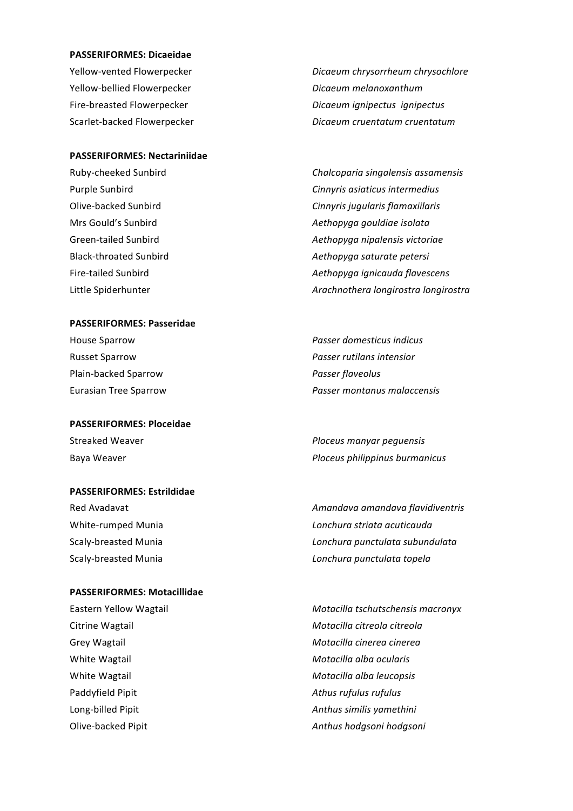#### **PASSERIFORMES: Dicaeidae**

Yellow-bellied Flowerpecker *Dicaeum melanoxanthum*

Yellow-vented Flowerpecker *Dicaeum chrysorrheum chrysochlore* Fire-breasted Flowerpecker *Dicaeum ignipectus ignipectus* Scarlet-backed Flowerpecker *Dicaeum cruentatum cruentatum*

#### **PASSERIFORMES: Nectariniidae**

Ruby-cheeked Sunbird *Chalcoparia singalensis assamensis* 

#### **PASSERIFORMES: Passeridae**

Plain-backed Sparrow **Plain-backed** Sparrow *Passer flaveolus* 

**PASSERIFORMES: Ploceidae** Streaked Weaver *Ploceus manyar pequensis* 

#### **PASSERIFORMES:** Estrildidae

#### **PASSERIFORMES: Motacillidae**

White Wagtail **Motacilla** alba *cularis* **Motacilla** alba *ocularis* Paddyfield Pipit *Paddyfield Pipit* **Athus** rufulus rufulus

Purple Sunbird **Cinnyris** asiaticus intermedius **Purple** Olive-backed Sunbird **Cinnyris** *Cinnyris* jugularis flamaxiilaris Mrs Gould's Sunbird *Aethopyga gouldiae isolata* Green-tailed Sunbird *Aethopyga nipalensis victoriae* Black-throated Sunbird *Aethopyga saturate petersi* Fire-tailed Sunbird *Aethopyga ignicauda flavescens* Little Spiderhunter *Arachnothera longirostra longirostra* 

**House Sparrow**  *Passer domesticus indicus Passer domesticus indicus* Russet Sparrow *Passer rutilans intensior* Eurasian Tree Sparrow *Passer montanus malaccensis*

Baya Weaver *Ploceus philippinus burmanicus* 

Red Avadavat **Amandava** *Amandava amandava flavidiventris* White-rumped Munia *Lonchura striata acuticauda Lonchura striata acuticauda* Scaly-breasted Munia *Lonchura punctulata subundulata* Scaly-breasted Munia *Lonchura punctulata topela Lonchura punctulata topela* 

Eastern Yellow Wagtail *Motacilla tschutschensis macronyx* Citrine Wagtail **Motacilla** Citreola citreola Grey Wagtail **Grey Wagtail Grey Wagtail Grey Wagtail Motacilla** cinerea cinerea White Wagtail **Motacilla** alba leucopsis **Motacilla** alba leucopsis Long-billed Pipit **Anthus** similis yamethini Olive-backed Pipit *Anthus hodgsoni Anthus hodgsoni Anthus hodgsoni*